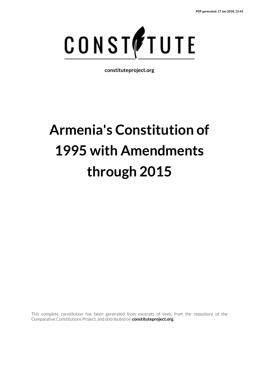

**constituteproject.org**

# **Armenia's Constitution of 1995 with Amendments through 2015**

This complete constitution has been generated from excerpts of texts from the repository of the Comparative Constitutions Project, and distributed on **constituteproject.org**.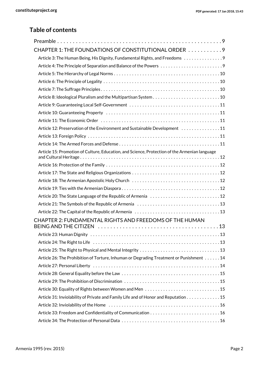#### **Table of contents**

| CHAPTER 1: THE FOUNDATIONS OF CONSTITUTIONAL ORDER 9                                          |
|-----------------------------------------------------------------------------------------------|
| Article 3: The Human Being, His Dignity, Fundamental Rights, and Freedoms 9                   |
| Article 4: The Principle of Separation and Balance of the Powers                              |
|                                                                                               |
|                                                                                               |
|                                                                                               |
|                                                                                               |
|                                                                                               |
|                                                                                               |
|                                                                                               |
| Article 12: Preservation of the Environment and Sustainable Development 11                    |
|                                                                                               |
|                                                                                               |
| Article 15: Promotion of Culture, Education, and Science, Protection of the Armenian language |
|                                                                                               |
|                                                                                               |
|                                                                                               |
|                                                                                               |
|                                                                                               |
|                                                                                               |
|                                                                                               |
| CHAPTER 2: FUNDAMENTAL RIGHTS AND FREEDOMS OF THE HUMAN                                       |
|                                                                                               |
|                                                                                               |
|                                                                                               |
|                                                                                               |
| Article 26: The Prohibition of Torture, Inhuman or Degrading Treatment or Punishment 14       |
|                                                                                               |
|                                                                                               |
|                                                                                               |
|                                                                                               |
| Article 31: Inviolability of Private and Family Life and of Honor and Reputation 15           |
|                                                                                               |
|                                                                                               |
|                                                                                               |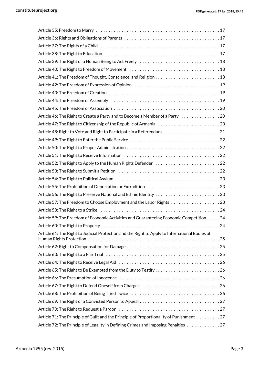| Article 46: The Right to Create a Party and to Become a Member of a Party 20                   |
|------------------------------------------------------------------------------------------------|
|                                                                                                |
|                                                                                                |
|                                                                                                |
|                                                                                                |
|                                                                                                |
| Article 52: The Right to Apply to the Human Rights Defender 22                                 |
|                                                                                                |
|                                                                                                |
| Article 55: The Prohibition of Deportation or Extradition 23                                   |
|                                                                                                |
|                                                                                                |
|                                                                                                |
| Article 59: The Freedom of Economic Activities and Guaranteeing Economic Competition 24        |
|                                                                                                |
| Article 61: The Right to Judicial Protection and the Right to Apply to International Bodies of |
|                                                                                                |
|                                                                                                |
|                                                                                                |
| Article 65: The Right to Be Exempted from the Duty to Testify26                                |
|                                                                                                |
| Article 67: The Right to Defend Oneself from Charges 26                                        |
|                                                                                                |
|                                                                                                |
|                                                                                                |
| Article 71: The Principle of Guilt and the Principle of Proportionality of Punishment 27       |
| Article 72: The Principle of Legality in Defining Crimes and Imposing Penalties 27             |
|                                                                                                |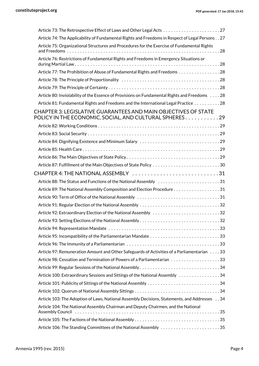| Article 74: The Applicability of Fundamental Rights and Freedoms in Respect of Legal Persons 27                                                                                                          |  |
|----------------------------------------------------------------------------------------------------------------------------------------------------------------------------------------------------------|--|
| Article 75: Organizational Structures and Procedures for the Exercise of Fundamental Rights                                                                                                              |  |
| Article 76: Restrictions of Fundamental Rights and Freedoms in Emergency Situations or                                                                                                                   |  |
| Article 77: The Prohibition of Abuse of Fundamental Rights and Freedoms 28                                                                                                                               |  |
|                                                                                                                                                                                                          |  |
|                                                                                                                                                                                                          |  |
| Article 80: Inviolability of the Essence of Provisions on Fundamental Rights and Freedoms 28                                                                                                             |  |
| Article 81: Fundamental Rights and Freedoms and the International Legal Practice 28                                                                                                                      |  |
| CHAPTER 3: LEGISLATIVE GUARANTEES AND MAIN OBJECTIVES OF STATE<br>POLICY IN THE ECONOMIC, SOCIAL, AND CULTURAL SPHERES. 29                                                                               |  |
|                                                                                                                                                                                                          |  |
|                                                                                                                                                                                                          |  |
|                                                                                                                                                                                                          |  |
|                                                                                                                                                                                                          |  |
|                                                                                                                                                                                                          |  |
|                                                                                                                                                                                                          |  |
| CHAPTER 4: THE NATIONAL ASSEMBLY 31                                                                                                                                                                      |  |
| Article 88: The Status and Functions of the National Assembly 31                                                                                                                                         |  |
| Article 89: The National Assembly Composition and Election Procedure31                                                                                                                                   |  |
|                                                                                                                                                                                                          |  |
|                                                                                                                                                                                                          |  |
| Article 92: Extraordinary Election of the National Assembly 32                                                                                                                                           |  |
|                                                                                                                                                                                                          |  |
|                                                                                                                                                                                                          |  |
|                                                                                                                                                                                                          |  |
|                                                                                                                                                                                                          |  |
| Article 97: Remuneration Amount and Other Safeguards of Activities of a Parliamentarian 33                                                                                                               |  |
|                                                                                                                                                                                                          |  |
|                                                                                                                                                                                                          |  |
| Article 100: Extraordinary Sessions and Sittings of the National Assembly 34                                                                                                                             |  |
|                                                                                                                                                                                                          |  |
|                                                                                                                                                                                                          |  |
| Article 103: The Adoption of Laws, National Assembly Decisions, Statements, and Addresses 34                                                                                                             |  |
| Article 104: The National Assembly Chairman and Deputy Chairmen, and the National<br>Assembly Council is interested in the contract of the contract of the contract of the contract of the contract $35$ |  |
|                                                                                                                                                                                                          |  |
| Article 106: The Standing Committees of the National Assembly 35                                                                                                                                         |  |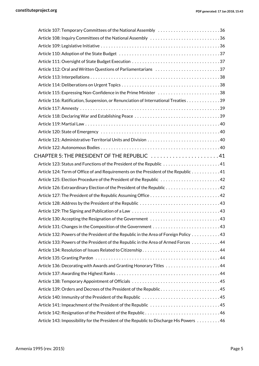| Article 107: Temporary Committees of the National Assembly 36                           |  |
|-----------------------------------------------------------------------------------------|--|
|                                                                                         |  |
|                                                                                         |  |
|                                                                                         |  |
|                                                                                         |  |
| Article 112: Oral and Written Questions of Parliamentarians 37                          |  |
|                                                                                         |  |
|                                                                                         |  |
| Article 115: Expressing Non-Confidence in the Prime Minister 38                         |  |
| Article 116: Ratification, Suspension, or Renunciation of International Treaties 39     |  |
|                                                                                         |  |
|                                                                                         |  |
|                                                                                         |  |
|                                                                                         |  |
|                                                                                         |  |
|                                                                                         |  |
| CHAPTER 5: THE PRESIDENT OF THE REPUBLIC 41                                             |  |
|                                                                                         |  |
| Article 124: Term of Office of and Requirements on the President of the Republic 41     |  |
| Article 125: Election Procedure of the President of the Republic 42                     |  |
|                                                                                         |  |
|                                                                                         |  |
|                                                                                         |  |
|                                                                                         |  |
|                                                                                         |  |
|                                                                                         |  |
| Article 132: Powers of the President of the Republic in the Area of Foreign Policy 43   |  |
| Article 133: Powers of the President of the Republic in the Area of Armed Forces 44     |  |
|                                                                                         |  |
|                                                                                         |  |
|                                                                                         |  |
|                                                                                         |  |
|                                                                                         |  |
|                                                                                         |  |
|                                                                                         |  |
| Article 141: Impeachment of the President of the Republic 45                            |  |
|                                                                                         |  |
| Article 143: Impossibility for the President of the Republic to Discharge His Powers 46 |  |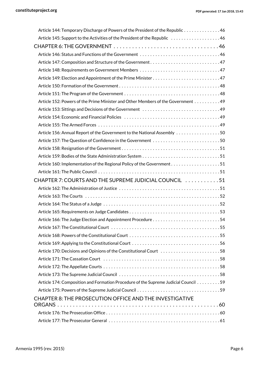| Article 144: Temporary Discharge of Powers of the President of the Republic 46                                 |
|----------------------------------------------------------------------------------------------------------------|
| Article 145: Support to the Activities of the President of the Republic 46                                     |
|                                                                                                                |
|                                                                                                                |
| Article 147: Composition and Structure of the Government47                                                     |
|                                                                                                                |
|                                                                                                                |
|                                                                                                                |
|                                                                                                                |
| Article 152: Powers of the Prime Minister and Other Members of the Government 49                               |
|                                                                                                                |
|                                                                                                                |
|                                                                                                                |
| Article 156: Annual Report of the Government to the National Assembly 50                                       |
| Article 157: The Question of Confidence in the Government 50                                                   |
|                                                                                                                |
|                                                                                                                |
|                                                                                                                |
|                                                                                                                |
| CHAPTER 7: COURTS AND THE SUPREME JUDICIAL COUNCIL 51                                                          |
|                                                                                                                |
|                                                                                                                |
|                                                                                                                |
|                                                                                                                |
|                                                                                                                |
|                                                                                                                |
|                                                                                                                |
|                                                                                                                |
| Article 170: Decisions and Opinions of the Constitutional Court 58                                             |
| Article 171: The Cassation Court (all contained according to the Cassation Court of the Cassation Court (all c |
|                                                                                                                |
|                                                                                                                |
| Article 174: Composition and Formation Procedure of the Supreme Judicial Council 59                            |
|                                                                                                                |
| CHAPTER 8: THE PROSECUTION OFFICE AND THE INVESTIGATIVE                                                        |
|                                                                                                                |
|                                                                                                                |
|                                                                                                                |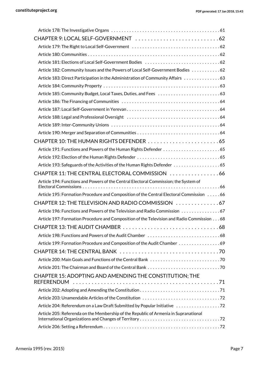| Article 182: Community Issues and the Powers of Local Self-Government Bodies 62            |  |
|--------------------------------------------------------------------------------------------|--|
| Article 183: Direct Participation in the Administration of Community Affairs 63            |  |
|                                                                                            |  |
|                                                                                            |  |
|                                                                                            |  |
|                                                                                            |  |
| Article 188: Legal and Professional Oversight (and all contained accession of 4            |  |
|                                                                                            |  |
|                                                                                            |  |
|                                                                                            |  |
|                                                                                            |  |
|                                                                                            |  |
|                                                                                            |  |
| CHAPTER 11: THE CENTRAL ELECTORAL COMMISSION 66                                            |  |
| Article 194: Functions and Powers of the Central Electoral Commission; the System of       |  |
|                                                                                            |  |
| Article 195: Formation Procedure and Composition of the Central Electoral Commission 66    |  |
| CHAPTER 12: THE TELEVISION AND RADIO COMMISSION 67                                         |  |
| Article 196: Functions and Powers of the Television and Radio Commission 67                |  |
| Article 197: Formation Procedure and Composition of the Television and Radio Commission 68 |  |
|                                                                                            |  |
|                                                                                            |  |
| Article 199: Formation Procedure and Composition of the Audit Chamber 69                   |  |
|                                                                                            |  |
|                                                                                            |  |
|                                                                                            |  |
| CHAPTER 15: ADOPTING AND AMENDING THE CONSTITUTION; THE                                    |  |
|                                                                                            |  |
|                                                                                            |  |
| Article 204: Referendum on a Law Draft Submitted by Popular Initiative 72                  |  |
| Article 205: Referenda on the Membership of the Republic of Armenia in Supranational       |  |
|                                                                                            |  |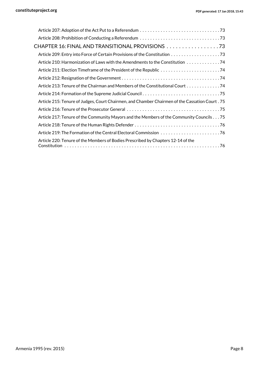| CHAPTER 16: FINAL AND TRANSITIONAL PROVISIONS 73                                               |
|------------------------------------------------------------------------------------------------|
|                                                                                                |
| Article 210: Harmonization of Laws with the Amendments to the Constitution 74                  |
|                                                                                                |
|                                                                                                |
| Article 213: Tenure of the Chairman and Members of the Constitutional Court 74                 |
|                                                                                                |
| 75. Article 215: Tenure of Judges, Court Chairmen, and Chamber Chairmen of the Cassation Court |
|                                                                                                |
| Article 217: Tenure of the Community Mayors and the Members of the Community Councils75        |
|                                                                                                |
|                                                                                                |
| Article 220: Tenure of the Members of Bodies Prescribed by Chapters 12-14 of the               |
|                                                                                                |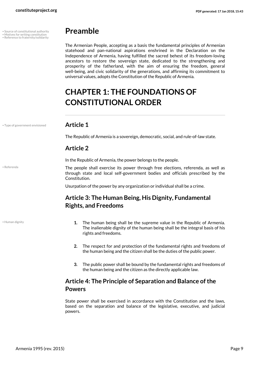- Source of constitutional authority
- • Reference to fraternity/solidarity

## <span id="page-8-0"></span>**Preamble**

The Armenian People, accepting as a basis the fundamental principles of Armenian statehood and pan-national aspirations enshrined in the Declaration on the Independence of Armenia, having fulfilled the sacred behest of its freedom-loving ancestors to restore the sovereign state, dedicated to the strengthening and prosperity of the fatherland, with the aim of ensuring the freedom, general well-being, and civic solidarity of the generations, and affirming its commitment to universal values, adopts the Constitution of the Republic of Armenia.

# <span id="page-8-1"></span>**CHAPTER 1: THE FOUNDATIONS OF CONSTITUTIONAL ORDER**

• Type of government envisioned **Article 1**

The Republic of Armenia is a sovereign, democratic, social, and rule-of-law state.

#### **Article 2**

In the Republic of Armenia, the power belongs to the people.

The people shall exercise its power through free elections, referenda, as well as through state and local self-government bodies and officials prescribed by the Constitution.

Usurpation of the power by any organization or individual shall be a crime.

#### **Article 3: The Human Being, His Dignity, Fundamental Rights, and Freedoms**

• Human dignity

• Referenda

- <span id="page-8-2"></span>**1.** The human being shall be the supreme value in the Republic of Armenia. The inalienable dignity of the human being shall be the integral basis of his rights and freedoms.
- **2.** The respect for and protection of the fundamental rights and freedoms of the human being and the citizen shall be the duties of the public power.
- **3.** The public power shall be bound by the fundamental rights and freedoms of the human being and the citizen as the directly applicable law.

#### <span id="page-8-3"></span>**Article 4: The Principle of Separation and Balance of the Powers**

State power shall be exercised in accordance with the Constitution and the laws, based on the separation and balance of the legislative, executive, and judicial powers.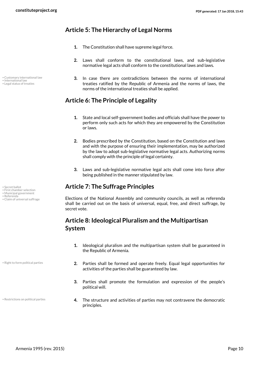#### **Article 5: The Hierarchy of Legal Norms**

- <span id="page-9-0"></span>**1.** The Constitution shall have supreme legal force.
- **2.** Laws shall conform to the constitutional laws, and sub-legislative normative legal acts shall conform to the constitutional laws and laws.
- <span id="page-9-1"></span>**3.** In case there are contradictions between the norms of international treaties ratified by the Republic of Armenia and the norms of laws, the norms of the international treaties shall be applied.

#### **Article 6: The Principle of Legality**

- **1.** State and local self-government bodies and officials shall have the power to perform only such acts for which they are empowered by the Constitution or laws.
- **2.** Bodies prescribed by the Constitution, based on the Constitution and laws and with the purpose of ensuring their implementation, may be authorized by the law to adopt sub-legislative normative legal acts. Authorizing norms shall comply with the principle of legal certainty.
- <span id="page-9-2"></span>**3.** Laws and sub-legislative normative legal acts shall come into force after being published in the manner stipulated by law.

#### • Secret ballot **Article 7: The Suffrage Principles**

Elections of the National Assembly and community councils, as well as referenda shall be carried out on the basis of universal, equal, free, and direct suffrage, by secret vote.

#### <span id="page-9-3"></span>**Article 8: Ideological Pluralism and the Multipartisan System**

- **1.** Ideological pluralism and the multipartisan system shall be guaranteed in the Republic of Armenia.
- **2.** Parties shall be formed and operate freely. Equal legal opportunities for activities of the parties shall be guaranteed by law.
- **3.** Parties shall promote the formulation and expression of the people's political will.
- **4.** The structure and activities of parties may not contravene the democratic principles.

• Customary international law

• International law • Legal status of treaties

• Secret ballot<br>• First chamber selection

• Municipal government

• Referenda<br>• Referenda<br>• Claim of universal suffrage

• Right to form political parties

• Restrictions on political parties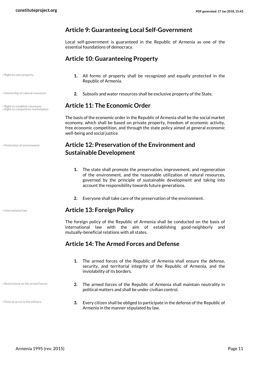#### <span id="page-10-0"></span>**Article 9: Guaranteeing Local Self-Government**

Local self-government is guaranteed in the Republic of Armenia as one of the essential foundations of democracy.

#### **Article 10: Guaranteeing Property**

• Right to own property

- 
- Right to competitive marketplace

• Protection of environment

• Restrictions on the armed forces

• Duty to serve in the military

- <span id="page-10-2"></span><span id="page-10-1"></span>**1.** All forms of property shall be recognized and equally protected in the Republic of Armenia.
- Ownership of natural resources **and state and State. 2.** Subsoils and water resources shall be exclusive property of the State.

#### • Right to establish a business **Article 11: The Economic Order**

The basis of the economic order in the Republic of Armenia shall be the social market economy, which shall be based on private property, freedom of economic activity, free economic competition, and through the state policy aimed at general economic well-being and social justice.

#### **Article 12: Preservation of the Environment and Sustainable Development**

- <span id="page-10-3"></span>**1.** The state shall promote the preservation, improvement, and regeneration of the environment, and the reasonable utilization of natural resources, governed by the principle of sustainable development and taking into account the responsibility towards future generations.
- <span id="page-10-4"></span>**2.** Everyone shall take care of the preservation of the environment.

#### • International law **Article 13: Foreign Policy**

The foreign policy of the Republic of Armenia shall be conducted on the basis of international law with the aim of establishing good-neighborly and mutually-beneficial relations with all states.

#### **Article 14: The Armed Forces and Defense**

- <span id="page-10-5"></span>**1.** The armed forces of the Republic of Armenia shall ensure the defense, security, and territorial integrity of the Republic of Armenia, and the inviolability of its borders.
- **2.** The armed forces of the Republic of Armenia shall maintain neutrality in political matters and shall be under civilian control.
- **3.** Every citizen shall be obliged to participate in the defense of the Republic of Armenia in the manner stipulated by law.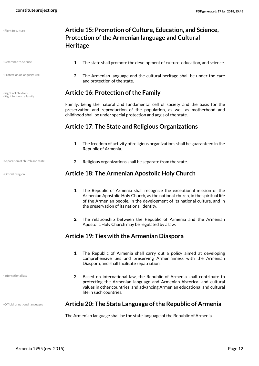• Right to culture

• Protection of language use

• Right to found a family

#### <span id="page-11-0"></span>**Article 15: Promotion of Culture, Education, and Science, Protection of the Armenian language and Cultural Heritage**

- **•** Reference to science **1.** The state shall promote the development of culture, education, and science.
	- **2.** The Armenian language and the cultural heritage shall be under the care and protection of the state.

#### • Rights of children **Article 16: Protection of the Family**

<span id="page-11-1"></span>Family, being the natural and fundamental cell of society and the basis for the preservation and reproduction of the population, as well as motherhood and childhood shall be under special protection and aegis of the state.

#### **Article 17: The State and Religious Organizations**

- <span id="page-11-2"></span>**1.** The freedom of activity of religious organizations shall be guaranteed in the Republic of Armenia.
- Separation of church and state **2.** Religious organizations shall be separate from the state.

#### • Official religion **Article 18: The Armenian Apostolic Holy Church**

- <span id="page-11-3"></span>**1.** The Republic of Armenia shall recognize the exceptional mission of the Armenian Apostolic Holy Church, as the national church, in the spiritual life of the Armenian people, in the development of its national culture, and in the preservation of its national identity.
- <span id="page-11-4"></span>**2.** The relationship between the Republic of Armenia and the Armenian Apostolic Holy Church may be regulated by a law.

#### **Article 19: Ties with the Armenian Diaspora**

- **1.** The Republic of Armenia shall carry out a policy aimed at developing comprehensive ties and preserving Armenianness with the Armenian Diaspora, and shall facilitate repatriation.
- <span id="page-11-5"></span>**2.** Based on international law, the Republic of Armenia shall contribute to protecting the Armenian language and Armenian historical and cultural values in other countries, and advancing Armenian educational and cultural life in such countries.

#### • Official or national languages **Article 20: The State Language of the Republic of Armenia**

The Armenian language shall be the state language of the Republic of Armenia.

• International law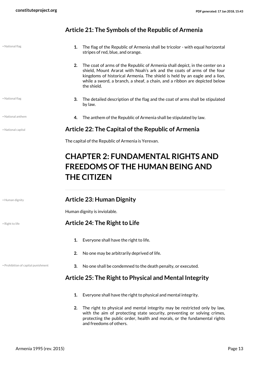#### <span id="page-12-1"></span><span id="page-12-0"></span>**Article 21: The Symbols of the Republic of Armenia**

| • National flag                     | 1.<br>The flag of the Republic of Armenia shall be tricolor - with equal horizontal<br>stripes of red, blue, and orange.                                                                                                                                                                                                                |  |
|-------------------------------------|-----------------------------------------------------------------------------------------------------------------------------------------------------------------------------------------------------------------------------------------------------------------------------------------------------------------------------------------|--|
|                                     | 2.<br>The coat of arms of the Republic of Armenia shall depict, in the center on a<br>shield, Mount Ararat with Noah's ark and the coats of arms of the four<br>kingdoms of historical Armenia. The shield is held by an eagle and a lion,<br>while a sword, a branch, a sheaf, a chain, and a ribbon are depicted below<br>the shield. |  |
| • National flag                     | 3.<br>The detailed description of the flag and the coat of arms shall be stipulated<br>by law.                                                                                                                                                                                                                                          |  |
| • National anthem                   | 4.<br>The anthem of the Republic of Armenia shall be stipulated by law.                                                                                                                                                                                                                                                                 |  |
| · National capital                  | Article 22: The Capital of the Republic of Armenia                                                                                                                                                                                                                                                                                      |  |
|                                     | The capital of the Republic of Armenia is Yerevan.                                                                                                                                                                                                                                                                                      |  |
|                                     | <b>FREEDOMS OF THE HUMAN BEING AND</b><br><b>THE CITIZEN</b>                                                                                                                                                                                                                                                                            |  |
| · Human dignity                     | <b>Article 23: Human Dignity</b>                                                                                                                                                                                                                                                                                                        |  |
|                                     | Human dignity is inviolable.                                                                                                                                                                                                                                                                                                            |  |
| • Right to life                     | Article 24: The Right to Life                                                                                                                                                                                                                                                                                                           |  |
|                                     | Everyone shall have the right to life.<br>1.                                                                                                                                                                                                                                                                                            |  |
|                                     | No one may be arbitrarily deprived of life.<br>2.                                                                                                                                                                                                                                                                                       |  |
| · Prohibition of capital punishment | No one shall be condemned to the death penalty, or executed.<br>3.                                                                                                                                                                                                                                                                      |  |
|                                     | Article 25: The Right to Physical and Mental Integrity                                                                                                                                                                                                                                                                                  |  |
|                                     | 1.<br>Everyone shall have the right to physical and mental integrity.                                                                                                                                                                                                                                                                   |  |
|                                     | The right to physical and mental integrity may be restricted only by law<br>າ                                                                                                                                                                                                                                                           |  |

<span id="page-12-5"></span><span id="page-12-4"></span><span id="page-12-3"></span><span id="page-12-2"></span>**2.** The right to physical and mental integrity may be restricted only by law, with the aim of protecting state security, preventing or solving crimes, protecting the public order, health and morals, or the fundamental rights and freedoms of others.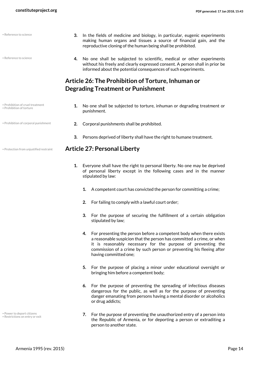• Reference to science

• Reference to science

- **3.** In the fields of medicine and biology, in particular, eugenic experiments making human organs and tissues a source of financial gain, and the reproductive cloning of the human being shall be prohibited.
- <span id="page-13-0"></span>**4.** No one shall be subjected to scientific, medical or other experiments without his freely and clearly expressed consent. A person shall in prior be informed about the potential consequences of such experiments.

### **Article 26: The Prohibition of Torture, Inhuman or Degrading Treatment or Punishment**

- Prohibition of cruel treatment • Prohibition of torture
- **1.** No one shall be subjected to torture, inhuman or degrading treatment or punishment.
- Prohibition of corporal punishment **2.** Corporal punishments shall be prohibited.
	- **3.** Persons deprived of liberty shall have the right to humane treatment.

#### • Protection from unjustified restraint **Article 27: Personal Liberty**

- <span id="page-13-1"></span>**1.** Everyone shall have the right to personal liberty. No one may be deprived of personal liberty except in the following cases and in the manner stipulated by law:
	- **1.** A competent court has convicted the person for committing a crime;
	- **2.** For failing to comply with a lawful court order;
	- **3.** For the purpose of securing the fulfillment of a certain obligation stipulated by law;
	- **4.** For presenting the person before a competent body when there exists a reasonable suspicion that the person has committed a crime, or when it is reasonably necessary for the purpose of preventing the commission of a crime by such person or preventing his fleeing after having committed one;
	- **5.** For the purpose of placing a minor under educational oversight or bringing him before a competent body;
	- **6.** For the purpose of preventing the spreading of infectious diseases dangerous for the public, as well as for the purpose of preventing danger emanating from persons having a mental disorder or alcoholics or drug addicts;
	- **7.** For the purpose of preventing the unauthorized entry of a person into the Republic of Armenia, or for deporting a person or extraditing a person to another state.

Power to deport citizens • Restrictions on entry or exit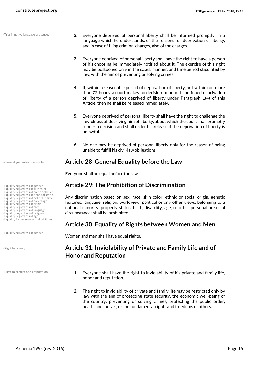• Trial in native language of accused

- 
- 
- Equality regardless of skin color Equality regardless of creed or belief
- Equality regardless of financial status
- Equality regardless of political party Equality regardless of parentage
- 
- Equality regardless of origin Equality regardless of race
- Equality regardless of language
- Equality regardless of religion
- Equality regardless of age • Equality for persons with disabilities

• Equality regardless of gender

• Right to privacy

• Right to protect one's reputation

- **2.** Everyone deprived of personal liberty shall be informed promptly, in a language which he understands, of the reasons for deprivation of liberty, and in case of filing criminal charges, also of the charges.
- **3.** Everyone deprived of personal liberty shall have the right to have a person of his choosing be immediately notified about it. The exercise of this right may be postponed only in the cases, manner, and time period stipulated by law, with the aim of preventing or solving crimes.
- **4.** If, within a reasonable period of deprivation of liberty, but within not more than 72 hours, a court makes no decision to permit continued deprivation of liberty of a person deprived of liberty under Paragraph 1(4) of this Article, then he shall be released immediately.
- **5.** Everyone deprived of personal liberty shall have the right to challenge the lawfulness of depriving him of liberty, about which the court shall promptly render a decision and shall order his release if the deprivation of liberty is unlawful.
- <span id="page-14-1"></span><span id="page-14-0"></span>**6.** No one may be deprived of personal liberty only for the reason of being unable to fulfill his civil-law obligations.

#### • General guarantee of equality **Article 28: General Equality before the Law**

Everyone shall be equal before the law.

#### • Equality regardless of gender **Article 29: The Prohibition of Discrimination**

Any discrimination based on sex, race, skin color, ethnic or social origin, genetic features, language, religion, worldview, political or any other views, belonging to a national minority, property status, birth, disability, age, or other personal or social circumstances shall be prohibited.

#### <span id="page-14-2"></span>**Article 30: Equality of Rights between Women and Men**

Women and men shall have equal rights.

#### **Article 31: Inviolability of Private and Family Life and of Honor and Reputation**

- <span id="page-14-3"></span>**1.** Everyone shall have the right to inviolability of his private and family life, honor and reputation.
- **2.** The right to inviolability of private and family life may be restricted only by law with the aim of protecting state security, the economic well-being of the country, preventing or solving crimes, protecting the public order, health and morals, or the fundamental rights and freedoms of others.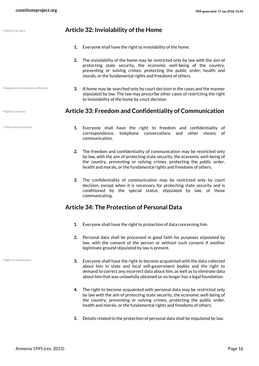• Regulation of evidence collection

• Telecommunications

#### • Right to privacy **Article 32: Inviolability of the Home**

- <span id="page-15-0"></span>**1.** Everyone shall have the right to inviolability of the home.
- **2.** The inviolability of the home may be restricted only by law with the aim of protecting state security, the economic well-being of the country, preventing or solving crimes, protecting the public order, health and morals, or the fundamental rights and freedoms of others.
- <span id="page-15-1"></span>**3.** A home may be searched only by court decision in the cases and the manner stipulated by law. The law may prescribe other cases of restricting the right to inviolability of the home by court decision.

#### • Right to privacy **Article 33: Freedom and Confidentiality of Communication**

- **1.** Everyone shall have the right to freedom and confidentiality of correspondence, telephone conversations and other means of communication.
- **2.** The freedom and confidentiality of communication may be restricted only by law, with the aim of protecting state security, the economic well-being of the country, preventing or solving crimes, protecting the public order, health and morals, or the fundamental rights and freedoms of others.
- **3.** The confidentiality of communication may be restricted only by court decision, except when it is necessary for protecting state security and is conditioned by the special status, stipulated by law, of those communicating.

#### **Article 34: The Protection of Personal Data**

- <span id="page-15-2"></span>**1.** Everyone shall have the right to protection of data concerning him.
- **2.** Personal data shall be processed in good faith for purposes stipulated by law, with the consent of the person or without such consent if another legitimate ground stipulated by law is present.
- **3.** Everyone shall have the right to become acquainted with the data collected about him in state and local self-government bodies and the right to demand to correct any incorrect data about him, as well as to eliminate data about him that was unlawfully obtained or no longer has a legal foundation.
- **4.** The right to become acquainted with personal data may be restricted only by law with the aim of protecting state security, the economic well-being of the country, preventing or solving crimes, protecting the public order, health and morals, or the fundamental rights and freedoms of others.
- **5.** Details related to the protection of personal data shall be stipulated by law.

• Right to information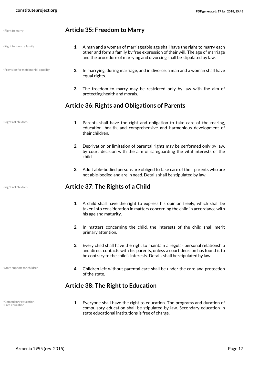<span id="page-16-1"></span><span id="page-16-0"></span>

| • Right to marry                           | <b>Article 35: Freedom to Marry</b>                                                                                                                                                                                                              |
|--------------------------------------------|--------------------------------------------------------------------------------------------------------------------------------------------------------------------------------------------------------------------------------------------------|
| • Right to found a family                  | 1. A man and a woman of marriageable age shall have the right to marry each<br>other and form a family by free expression of their will. The age of marriage<br>and the procedure of marrying and divorcing shall be stipulated by law.          |
| . Provision for matrimonial equality       | In marrying, during marriage, and in divorce, a man and a woman shall have<br>2.<br>equal rights.                                                                                                                                                |
|                                            | 3.<br>The freedom to marry may be restricted only by law with the aim of<br>protecting health and morals.                                                                                                                                        |
|                                            | <b>Article 36: Rights and Obligations of Parents</b>                                                                                                                                                                                             |
| · Rights of children                       | Parents shall have the right and obligation to take care of the rearing,<br>1.<br>education, health, and comprehensive and harmonious development of<br>their children.                                                                          |
|                                            | 2.<br>Deprivation or limitation of parental rights may be performed only by law,<br>by court decision with the aim of safeguarding the vital interests of the<br>child.                                                                          |
|                                            | Adult able-bodied persons are obliged to take care of their parents who are<br>3.<br>not able-bodied and are in need. Details shall be stipulated by law.                                                                                        |
| • Rights of children                       | Article 37: The Rights of a Child                                                                                                                                                                                                                |
|                                            | A child shall have the right to express his opinion freely, which shall be<br>1.<br>taken into consideration in matters concerning the child in accordance with<br>his age and maturity.                                                         |
|                                            | In matters concerning the child, the interests of the child shall merit<br>2.<br>primary attention.                                                                                                                                              |
|                                            | Every child shall have the right to maintain a regular personal relationship<br>3.<br>and direct contacts with his parents, unless a court decision has found it to<br>be contrary to the child's interests. Details shall be stipulated by law. |
| • State support for children               | Children left without parental care shall be under the care and protection<br>4.<br>of the state.                                                                                                                                                |
|                                            | <b>Article 38: The Right to Education</b>                                                                                                                                                                                                        |
| • Compulsory education<br>• Free education | Everyone shall have the right to education. The programs and duration of<br>1.<br>compulsory education shall be stipulated by law. Secondary education in                                                                                        |

<span id="page-16-3"></span><span id="page-16-2"></span>state educational institutions is free of charge.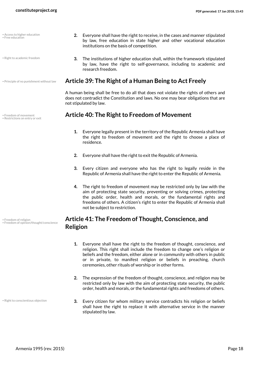• Free education

• Right to academic freedom

• Restrictions on entry or exit

- **2.** Everyone shall have the right to receive, in the cases and manner stipulated by law, free education in state higher and other vocational education institutions on the basis of competition. • Access to higher education
	- **3.** The institutions of higher education shall, within the framework stipulated by law, have the right to self-governance, including to academic and research freedom.

#### • Principle of no punishment without law **Article 39: The Right of a Human Being to Act Freely**

<span id="page-17-0"></span>A human being shall be free to do all that does not violate the rights of others and does not contradict the Constitution and laws. No one may bear obligations that are not stipulated by law.

#### • Freedom of movement **Article 40: The Right to Freedom of Movement**

- <span id="page-17-1"></span>**1.** Everyone legally present in the territory of the Republic Armenia shall have the right to freedom of movement and the right to choose a place of residence.
- **2.** Everyone shall have the right to exit the Republic of Armenia.
- **3.** Every citizen and everyone who has the right to legally reside in the Republic of Armenia shall have the right to enter the Republic of Armenia.
- **4.** The right to freedom of movement may be restricted only by law with the aim of protecting state security, preventing or solving crimes, protecting the public order, health and morals, or the fundamental rights and freedoms of others. A citizen's right to enter the Republic of Armenia shall not be subject to restriction.

#### <span id="page-17-2"></span>**Article 41: The Freedom of Thought, Conscience, and Religion**

- **1.** Everyone shall have the right to the freedom of thought, conscience, and religion. This right shall include the freedom to change one's religion or beliefs and the freedom, either alone or in community with others in public or in private, to manifest religion or beliefs in preaching, church ceremonies, other rituals of worship or in other forms.
- **2.** The expression of the freedom of thought, conscience, and religion may be restricted only by law with the aim of protecting state security, the public order, health and morals, or the fundamental rights and freedoms of others.
- **3.** Every citizen for whom military service contradicts his religion or beliefs shall have the right to replace it with alternative service in the manner stipulated by law.

• Freedom of religion • Freedom of opinion/thought/conscience

• Right to conscientious objection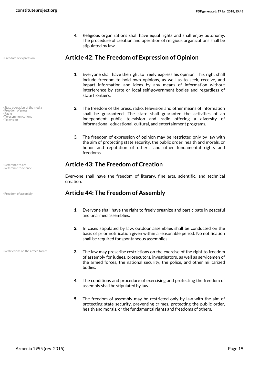<span id="page-18-0"></span>**4.** Religious organizations shall have equal rights and shall enjoy autonomy. The procedure of creation and operation of religious organizations shall be stipulated by law.

#### • Freedom of expression **Article 42: The Freedom of Expression of Opinion**

- **1.** Everyone shall have the right to freely express his opinion. This right shall include freedom to hold own opinions, as well as to seek, receive, and impart information and ideas by any means of information without interference by state or local self-government bodies and regardless of state frontiers.
- **2.** The freedom of the press, radio, television and other means of information shall be guaranteed. The state shall guarantee the activities of an independent public television and radio offering a diversity of informational, educational, cultural, and entertainment programs.
- <span id="page-18-1"></span>**3.** The freedom of expression of opinion may be restricted only by law with the aim of protecting state security, the public order, health and morals, or honor and reputation of others, and other fundamental rights and freedoms.

#### • Reference to art **Article 43: The Freedom of Creation**

Everyone shall have the freedom of literary, fine arts, scientific, and technical creation.

#### • Freedom of assembly **Article 44: The Freedom of Assembly**

- <span id="page-18-2"></span>**1.** Everyone shall have the right to freely organize and participate in peaceful and unarmed assemblies.
- **2.** In cases stipulated by law, outdoor assemblies shall be conducted on the basis of prior notification given within a reasonable period. No notification shall be required for spontaneous assemblies.
- **3.** The law may prescribe restrictions on the exercise of the right to freedom of assembly for judges, prosecutors, investigators, as well as servicemen of the armed forces, the national security, the police, and other militarized bodies.
- **4.** The conditions and procedure of exercising and protecting the freedom of assembly shall be stipulated by law.
- **5.** The freedom of assembly may be restricted only by law with the aim of protecting state security, preventing crimes, protecting the public order, health and morals, or the fundamental rights and freedoms of others.

• Radio • Telecommunications

• State operation of the media

• Television

• Freedom of press

• Reference to science

• Restrictions on the armed forces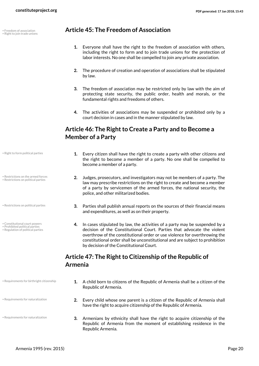• Right to join trade unions

#### • Freedom of association **Article 45: The Freedom of Association**

- <span id="page-19-0"></span>**1.** Everyone shall have the right to the freedom of association with others, including the right to form and to join trade unions for the protection of labor interests. No one shall be compelled to join any private association.
- **2.** The procedure of creation and operation of associations shall be stipulated by law.
- **3.** The freedom of association may be restricted only by law with the aim of protecting state security, the public order, health and morals, or the fundamental rights and freedoms of others.
- <span id="page-19-1"></span>**4.** The activities of associations may be suspended or prohibited only by a court decision in cases and in the manner stipulated by law.

#### **Article 46: The Right to Create a Party and to Become a Member of a Party**

- **1.** Every citizen shall have the right to create a party with other citizens and the right to become a member of a party. No one shall be compelled to become a member of a party.
- **2.** Judges, prosecutors, and investigators may not be members of a party. The law may prescribe restrictions on the right to create and become a member of a party by servicemen of the armed forces, the national security, the police, and other militarized bodies.
- **3.** Parties shall publish annual reports on the sources of their financial means and expenditures, as well as on their property.
- **4.** In cases stipulated by law, the activities of a party may be suspended by a decision of the Constitutional Court. Parties that advocate the violent overthrow of the constitutional order or use violence for overthrowing the constitutional order shall be unconstitutional and are subject to prohibition by decision of the Constitutional Court.

#### <span id="page-19-2"></span>**Article 47: The Right to Citizenship of the Republic of Armenia**

- **1.** A child born to citizens of the Republic of Armenia shall be a citizen of the Republic of Armenia.
- **2.** Every child whose one parent is a citizen of the Republic of Armenia shall have the right to acquire citizenship of the Republic of Armenia.
- **3.** Armenians by ethnicity shall have the right to acquire citizenship of the Republic of Armenia from the moment of establishing residence in the Republic Armenia.

• Right to form political parties

• Restrictions on the armed forces • Restrictions on political parties

• Restrictions on political parties

- Constitutional court powers
- Prohibited political parties Regulation of political parties

• Requirements for birthright citizenship

• Requirements for naturalization

• Requirements for naturalization

Armenia 1995 (rev. 2015) Page 20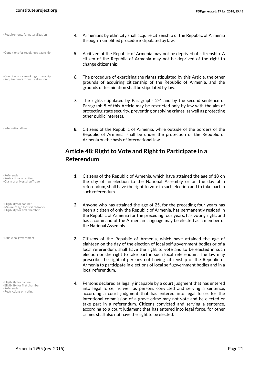- Requirements for naturalization
- Conditions for revoking citizenship
- Conditions for revoking citizenship • Requirements for naturalization

• International law

- Referenda • Restrictions on voting
- Claim of universal suffrage
- Eligibility for cabinet
- Minimum age for first chamber Eligibility for first chamber

• Municipal government

- Eligibility for cabinet
- Eligibility for first chamber
- Referenda • Restrictions on voting
- **4.** Armenians by ethnicity shall acquire citizenship of the Republic of Armenia through a simplified procedure stipulated by law.
- **5.** A citizen of the Republic of Armenia may not be deprived of citizenship. A citizen of the Republic of Armenia may not be deprived of the right to change citizenship.
- **6.** The procedure of exercising the rights stipulated by this Article, the other grounds of acquiring citizenship of the Republic of Armenia, and the grounds of termination shall be stipulated by law.
- **7.** The rights stipulated by Paragraphs 2-4 and by the second sentence of Paragraph 5 of this Article may be restricted only by law with the aim of protecting state security, preventing or solving crimes, as well as protecting other public interests.
- **8.** Citizens of the Republic of Armenia, while outside of the borders of the Republic of Armenia, shall be under the protection of the Republic of Armenia on the basis of international law.

#### **Article 48: Right to Vote and Right to Participate in a Referendum**

- <span id="page-20-0"></span>**1.** Citizens of the Republic of Armenia, which have attained the age of 18 on the day of an election to the National Assembly or on the day of a referendum, shall have the right to vote in such election and to take part in such referendum.
- **2.** Anyone who has attained the age of 25, for the preceding four years has been a citizen of only the Republic of Armenia, has permanently resided in the Republic of Armenia for the preceding four years, has voting right, and has a command of the Armenian language may be elected as a member of the National Assembly.
- **3.** Citizens of the Republic of Armenia, which have attained the age of eighteen on the day of the election of local self-government bodies or of a local referendum, shall have the right to vote and to be elected in such election or the right to take part in such local referendum. The law may prescribe the right of persons not having citizenship of the Republic of Armenia to participate in elections of local self-government bodies and in a local referendum.
- **4.** Persons declared as legally incapable by a court judgment that has entered into legal force, as well as persons convicted and serving a sentence, according a court judgment that has entered into legal force, for the intentional commission of a grave crime may not vote and be elected or take part in a referendum. Citizens convicted and serving a sentence, according to a court judgment that has entered into legal force, for other crimes shall also not have the right to be elected.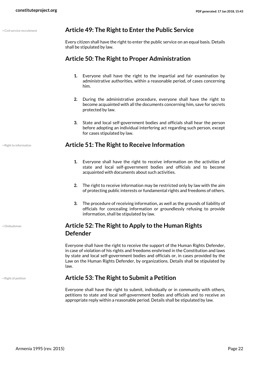|  | Civil service recruitment |  |
|--|---------------------------|--|
|  |                           |  |

#### <span id="page-21-0"></span>Article 49: The Right to Enter the Public Service

Every citizen shall have the right to enter the public service on an equal basis. Details shall be stipulated by law.

#### **Article 50: The Right to Proper Administration**

- <span id="page-21-1"></span>**1.** Everyone shall have the right to the impartial and fair examination by administrative authorities, within a reasonable period, of cases concerning him.
- **2.** During the administrative procedure, everyone shall have the right to become acquainted with all the documents concerning him, save for secrets protected by law.
- <span id="page-21-2"></span>**3.** State and local self-government bodies and officials shall hear the person before adopting an individual interfering act regarding such person, except for cases stipulated by law.

#### • Right to information **Article 51: The Right to Receive Information**

- **1.** Everyone shall have the right to receive information on the activities of state and local self-government bodies and officials and to become acquainted with documents about such activities.
- **2.** The right to receive information may be restricted only by law with the aim of protecting public interests or fundamental rights and freedoms of others.
- **3.** The procedure of receiving information, as well as the grounds of liability of officials for concealing information or groundlessly refusing to provide information, shall be stipulated by law.

#### <span id="page-21-3"></span>**Article 52: The Right to Apply to the Human Rights Defender**

Everyone shall have the right to receive the support of the Human Rights Defender, in case of violation of his rights and freedoms enshrined in the Constitution and laws by state and local self-government bodies and officials or, in cases provided by the Law on the Human Rights Defender, by organizations. Details shall be stipulated by law.

#### • Right of petition **Article 53: The Right to Submit a Petition**

<span id="page-21-4"></span>Everyone shall have the right to submit, individually or in community with others, petitions to state and local self-government bodies and officials and to receive an appropriate reply within a reasonable period. Details shall be stipulated by law.

• Ombudsman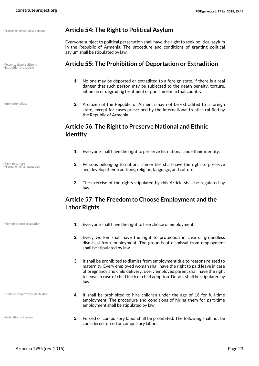• Extradition procedure

• International law

• Right to culture • Protection of language use

#### • Protection of stateless persons **Article 54: The Right to Political Asylum**

<span id="page-22-0"></span>Everyone subject to political persecution shall have the right to seek political asylum in the Republic of Armenia. The procedure and conditions of granting political asylum shall be stipulated by law.

#### • Power to deport citizens **Article 55: The Prohibition of Deportation or Extradition**

- <span id="page-22-1"></span>**1.** No one may be deported or extradited to a foreign state, if there is a real danger that such person may be subjected to the death penalty, torture, inhuman or degrading treatment or punishment in that country.
- **2.** A citizen of the Republic of Armenia may not be extradited to a foreign state, except for cases prescribed by the international treaties ratified by the Republic of Armenia.

#### <span id="page-22-2"></span>**Article 56: The Right to Preserve National and Ethnic Identity**

- **1.** Everyone shall have the right to preserve his national and ethnic identity.
- **2.** Persons belonging to national minorities shall have the right to preserve and develop their traditions, religion, language, and culture.
- <span id="page-22-3"></span>**3.** The exercise of the rights stipulated by this Article shall be regulated by law.

#### **Article 57: The Freedom to Choose Employment and the Labor Rights**

• Limits on employment of children

• Prohibition of slavery

- Right to choose occupation **1.** Everyone shall have the right to free choice of employment.
	- **2.** Every worker shall have the right to protection in case of groundless dismissal from employment. The grounds of dismissal from employment shall be stipulated by law.
	- **3.** It shall be prohibited to dismiss from employment due to reasons related to maternity. Every employed woman shall have the right to paid leave in case of pregnancy and child delivery. Every employed parent shall have the right to leave in case of child birth or child adoption. Details shall be stipulated by law.
	- **4.** It shall be prohibited to hire children under the age of 16 for full-time employment. The procedure and conditions of hiring them for part-time employment shall be stipulated by law.
	- **5.** Forced or compulsory labor shall be prohibited. The following shall not be considered forced or compulsory labor:

Armenia 1995 (rev. 2015) Page 23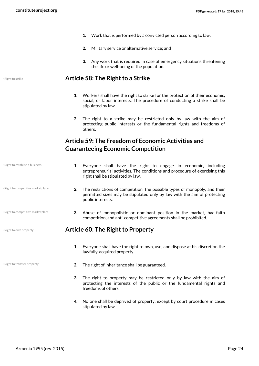- **1.** Work that is performed by a convicted person according to law;
- **2.** Military service or alternative service; and
- <span id="page-23-0"></span>**3.** Any work that is required in case of emergency situations threatening the life or well-being of the population.

#### • Right to strike **Article 58: The Right to a Strike**

- **1.** Workers shall have the right to strike for the protection of their economic, social, or labor interests. The procedure of conducting a strike shall be stipulated by law.
- <span id="page-23-1"></span>**2.** The right to a strike may be restricted only by law with the aim of protecting public interests or the fundamental rights and freedoms of others.

#### **Article 59: The Freedom of Economic Activities and Guaranteeing Economic Competition**

- **1.** Everyone shall have the right to engage in economic, including entrepreneurial activities. The conditions and procedure of exercising this right shall be stipulated by law.
	- **2.** The restrictions of competition, the possible types of monopoly, and their permitted sizes may be stipulated only by law with the aim of protecting public interests.
	- **3.** Abuse of monopolistic or dominant position in the market, bad-faith competition, and anti-competitive agreements shall be prohibited.

#### • Right to own property **Article 60: The Right to Property**

- <span id="page-23-2"></span>**1.** Everyone shall have the right to own, use, and dispose at his discretion the lawfully-acquired property.
- Right to transfer property **2.** The right of inheritance shall be guaranteed.
	- **3.** The right to property may be restricted only by law with the aim of protecting the interests of the public or the fundamental rights and freedoms of others.
	- **4.** No one shall be deprived of property, except by court procedure in cases stipulated by law.

• Right to establish a business

• Right to competitive marketplace

• Right to competitive marketplace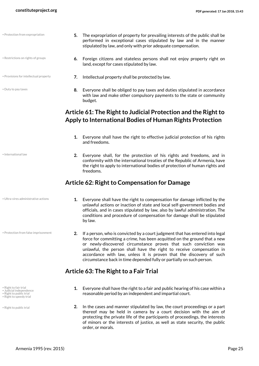| • Protection from expropriation        | 5. | The expropriation of property for prevailing interests of the public shall be<br>performed in exceptional cases stipulated by law and in the manner<br>stipulated by law, and only with prior adequate compensation. |
|----------------------------------------|----|----------------------------------------------------------------------------------------------------------------------------------------------------------------------------------------------------------------------|
| • Restrictions on rights of groups     | 6. | Foreign citizens and stateless persons shall not enjoy property right on<br>land, except for cases stipulated by law.                                                                                                |
| • Provisions for intellectual property |    | Intellectual property shall be protected by law.                                                                                                                                                                     |

<span id="page-24-0"></span>budget.

**8.** Everyone shall be obliged to pay taxes and duties stipulated in accordance with law and make other compulsory payments to the state or community

#### **Article 61: The Right to Judicial Protection and the Right to Apply to International Bodies of Human Rights Protection**

- **1.** Everyone shall have the right to effective judicial protection of his rights and freedoms.
- **2.** Everyone shall, for the protection of his rights and freedoms, and in conformity with the international treaties of the Republic of Armenia, have the right to apply to international bodies of protection of human rights and freedoms.

#### **Article 62: Right to Compensation for Damage**

• Ultra-vires administrative actions

• Duty to pay taxes

• International law

• Protection from false imprisonment

- Right to fair trial
- Judicial independence
- Right to public trial • Right to speedy trial
- 

• Right to public trial

- <span id="page-24-1"></span>**1.** Everyone shall have the right to compensation for damage inflicted by the unlawful actions or inaction of state and local self-government bodies and officials, and in cases stipulated by law, also by lawful administration. The conditions and procedure of compensation for damage shall be stipulated by law.
- **2.** If a person, who is convicted by a court judgment that has entered into legal force for committing a crime, has been acquitted on the ground that a new or newly-discovered circumstance proves that such conviction was unlawful, the person shall have the right to receive compensation in accordance with law, unless it is proven that the discovery of such circumstance back in time depended fully or partially on such person.

#### **Article 63: The Right to a Fair Trial**

- <span id="page-24-2"></span>**1.** Everyone shall have the right to a fair and public hearing of his case within a reasonable period by an independent and impartial court.
- **2.** In the cases and manner stipulated by law, the court proceedings or a part thereof may be held in camera by a court decision with the aim of protecting the private life of the participants of proceedings, the interests of minors or the interests of justice, as well as state security, the public order, or morals.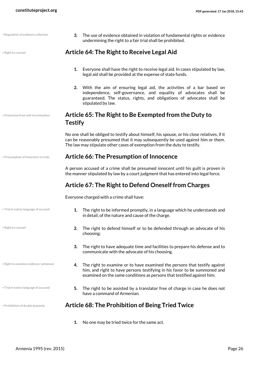<span id="page-25-4"></span><span id="page-25-3"></span><span id="page-25-2"></span><span id="page-25-1"></span><span id="page-25-0"></span>

| · Regulation of evidence collection    | The use of evidence obtained in violation of fundamental rights or evidence<br>3.<br>undermining the right to a fair trial shall be prohibited.                                                                                                             |  |  |
|----------------------------------------|-------------------------------------------------------------------------------------------------------------------------------------------------------------------------------------------------------------------------------------------------------------|--|--|
| · Right to counsel                     | Article 64: The Right to Receive Legal Aid                                                                                                                                                                                                                  |  |  |
|                                        | Everyone shall have the right to receive legal aid. In cases stipulated by law,<br>1.<br>legal aid shall be provided at the expense of state funds.                                                                                                         |  |  |
|                                        | 2. With the aim of ensuring legal aid, the activities of a bar based on<br>independence, self-governance, and equality of advocates shall be<br>guaranteed. The status, rights, and obligations of advocates shall be<br>stipulated by law.                 |  |  |
| · Protection from self-incrimination   | Article 65: The Right to Be Exempted from the Duty to<br><b>Testify</b>                                                                                                                                                                                     |  |  |
|                                        | No one shall be obliged to testify about himself, his spouse, or his close relatives, if it<br>can be reasonably presumed that it may subsequently be used against him or them.<br>The law may stipulate other cases of exemption from the duty to testify. |  |  |
| · Presumption of innocence in trials   | <b>Article 66: The Presumption of Innocence</b>                                                                                                                                                                                                             |  |  |
|                                        | A person accused of a crime shall be presumed innocent until his guilt is proven in<br>the manner stipulated by law by a court judgment that has entered into legal force.                                                                                  |  |  |
|                                        | Article 67: The Right to Defend Oneself from Charges                                                                                                                                                                                                        |  |  |
|                                        | Everyone charged with a crime shall have:                                                                                                                                                                                                                   |  |  |
| . Trial in native language of accused  | The right to be informed promptly, in a language which he understands and<br>1.<br>in detail, of the nature and cause of the charge.                                                                                                                        |  |  |
| · Right to counsel                     | The right to defend himself or to be defended through an advocate of his<br>2.<br>choosing;                                                                                                                                                                 |  |  |
|                                        | 3.<br>The right to have adequate time and facilities to prepare his defense and to<br>communicate with the advocate of his choosing.                                                                                                                        |  |  |
| · Right to examine evidence/ witnesses | The right to examine or to have examined the persons that testify against<br>4.<br>him, and right to have persons testifying in his favor to be summoned and<br>examined on the same conditions as persons that testified against him;                      |  |  |
| . Trial in native language of accused  | The right to be assisted by a translator free of charge in case he does not<br>5.<br>have a command of Armenian.                                                                                                                                            |  |  |
| · Prohibition of double jeopardy       | <b>Article 68: The Prohibition of Being Tried Twice</b>                                                                                                                                                                                                     |  |  |
|                                        | No one may be tried twice for the same act.<br>1.                                                                                                                                                                                                           |  |  |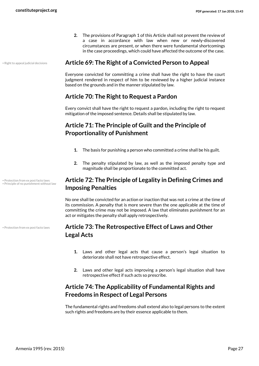<span id="page-26-0"></span>**2.** The provisions of Paragraph 1 of this Article shall not prevent the review of a case in accordance with law when new or newly-discovered circumstances are present, or when there were fundamental shortcomings in the case proceedings, which could have affected the outcome of the case.

#### • Right to appeal judicial decisions **Article 69: The Right of a Convicted Person to Appeal**

Everyone convicted for committing a crime shall have the right to have the court judgment rendered in respect of him to be reviewed by a higher judicial instance based on the grounds and in the manner stipulated by law.

#### <span id="page-26-1"></span>**Article 70: The Right to Request a Pardon**

Every convict shall have the right to request a pardon, including the right to request mitigation of the imposed sentence. Details shall be stipulated by law.

### **Article 71: The Principle of Guilt and the Principle of Proportionality of Punishment**

- <span id="page-26-2"></span>**1.** The basis for punishing a person who committed a crime shall be his guilt.
- <span id="page-26-3"></span>**2.** The penalty stipulated by law, as well as the imposed penalty type and magnitude shall be proportionate to the committed act.

#### **Article 72: The Principle of Legality in Defining Crimes and Imposing Penalties**

No one shall be convicted for an action or inaction that was not a crime at the time of its commission. A penalty that is more severe than the one applicable at the time of committing the crime may not be imposed. A law that eliminates punishment for an act or mitigates the penalty shall apply retrospectively.

#### **Article 73: The Retrospective Effect of Laws and Other Legal Acts**

- <span id="page-26-4"></span>**1.** Laws and other legal acts that cause a person's legal situation to deteriorate shall not have retrospective effect.
- <span id="page-26-5"></span>**2.** Laws and other legal acts improving a person's legal situation shall have retrospective effect if such acts so prescribe.

#### **Article 74: The Applicability of Fundamental Rights and Freedoms in Respect of Legal Persons**

The fundamental rights and freedoms shall extend also to legal persons to the extent such rights and freedoms are by their essence applicable to them.

• Protection from ex post facto laws • Principle of no punishment without law

• Protection from ex post facto laws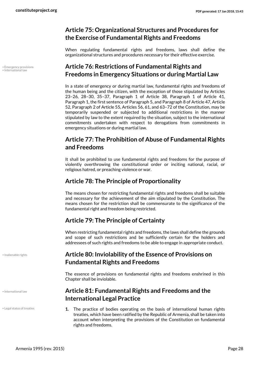#### <span id="page-27-0"></span>**Article 75: Organizational Structures and Procedures for the Exercise of Fundamental Rights and Freedoms**

When regulating fundamental rights and freedoms, laws shall define the organizational structures and procedures necessary for their effective exercise.

#### <span id="page-27-1"></span>**Article 76: Restrictions of Fundamental Rights and Freedoms in Emergency Situations or during Martial Law**

In a state of emergency or during martial law, fundamental rights and freedoms of the human being and the citizen, with the exception of those stipulated by Articles 23–26, 28–30, 35–37, Paragraph 1 of Article 38, Paragraph 1 of Article 41, Paragraph 1, the first sentence of Paragraph 5, and Paragraph 8 of Article 47, Article 52, Paragraph 2 of Article 55, Articles 56, 61, and 63–72 of the Constitution, may be temporarily suspended or subjected to additional restrictions in the manner stipulated by law to the extent required by the situation, subject to the international commitments undertaken with respect to derogations from commitments in emergency situations or during martial law.

#### <span id="page-27-2"></span>**Article 77: The Prohibition of Abuse of Fundamental Rights and Freedoms**

It shall be prohibited to use fundamental rights and freedoms for the purpose of violently overthrowing the constitutional order or inciting national, racial, or religious hatred, or preaching violence or war.

#### <span id="page-27-3"></span>**Article 78: The Principle of Proportionality**

The means chosen for restricting fundamental rights and freedoms shall be suitable and necessary for the achievement of the aim stipulated by the Constitution. The means chosen for the restriction shall be commensurate to the significance of the fundamental right and freedom being restricted.

#### <span id="page-27-4"></span>**Article 79: The Principle of Certainty**

When restricting fundamental rights and freedoms, the laws shall define the grounds and scope of such restrictions and be sufficiently certain for the holders and addressees of such rights and freedoms to be able to engage in appropriate conduct.

#### **Article 80: Inviolability of the Essence of Provisions on Fundamental Rights and Freedoms**

<span id="page-27-5"></span>The essence of provisions on fundamental rights and freedoms enshrined in this Chapter shall be inviolable.

#### <span id="page-27-6"></span>**Article 81: Fundamental Rights and Freedoms and the International Legal Practice**

**1.** The practice of bodies operating on the basis of international human rights treaties, which have been ratified by the Republic of Armenia, shall be taken into account when interpreting the provisions of the Constitution on fundamental rights and freedoms.

• Emergency provisions • International law

• Inalienable rights

#### • International law

• Legal status of treaties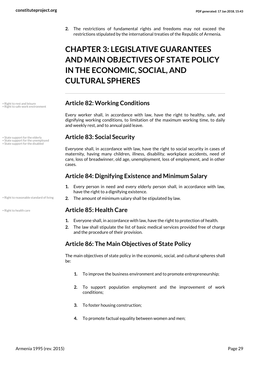**2.** The restrictions of fundamental rights and freedoms may not exceed the restrictions stipulated by the international treaties of the Republic of Armenia.

# <span id="page-28-0"></span>**CHAPTER 3: LEGISLATIVE GUARANTEES AND MAIN OBJECTIVES OF STATE POLICY IN THE ECONOMIC, SOCIAL, AND CULTURAL SPHERES**

#### • Right to rest and leisure **Article 82: Working Conditions**

<span id="page-28-1"></span>Every worker shall, in accordance with law, have the right to healthy, safe, and dignifying working conditions, to limitation of the maximum working time, to daily and weekly rest, and to annual paid leave.

#### • State support for the elderly **Article 83: Social Security**

<span id="page-28-2"></span>Everyone shall, in accordance with law, have the right to social security in cases of maternity, having many children, illness, disability, workplace accidents, need of care, loss of breadwinner, old age, unemployment, loss of employment, and in other cases.

#### <span id="page-28-3"></span>**Article 84: Dignifying Existence and Minimum Salary**

- **1.** Every person in need and every elderly person shall, in accordance with law, have the right to a dignifying existence.
- . Right to reasonable standard of living **2.** The amount of minimum salary shall be stipulated by law.

#### • Right to health care **Article 85: Health Care**

- <span id="page-28-4"></span>**1.** Everyone shall, in accordance with law, have the right to protection of health.
- **2.** The law shall stipulate the list of basic medical services provided free of charge and the procedure of their provision.

#### **Article 86: The Main Objectives of State Policy**

The main objectives of state policy in the economic, social, and cultural spheres shall be:

- <span id="page-28-5"></span>**1.** To improve the business environment and to promote entrepreneurship;
- **2.** To support population employment and the improvement of work conditions;
- **3.** To foster housing construction;
- **4.** To promote factual equality between women and men;

• Right to safe work environment

• State support for the unemployed

• State support for the disabled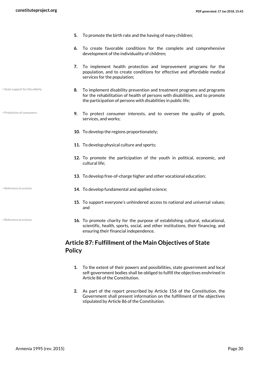- State support for the elderly
- Protection of consumers

- 
- Reference to science
- **5.** To promote the birth rate and the having of many children;
- **6.** To create favorable conditions for the complete and comprehensive development of the individuality of children;
- **7.** To implement health protection and improvement programs for the population, and to create conditions for effective and affordable medical services for the population;
- **8.** To implement disability prevention and treatment programs and programs for the rehabilitation of health of persons with disabilities, and to promote the participation of persons with disabilities in public life;
- **9.** To protect consumer interests, and to oversee the quality of goods, services, and works;
- **10.** To develop the regions proportionately;
- **11.** To develop physical culture and sports;
- **12.** To promote the participation of the youth in political, economic, and cultural life;
- **13.** To develop free-of-charge higher and other vocational education;
- **14.** To develop fundamental and applied science; Reference to science;
	- **15.** To support everyone's unhindered access to national and universal values; and
	- **16.** To promote charity for the purpose of establishing cultural, educational, scientific, health, sports, social, and other institutions, their financing, and ensuring their financial independence.

#### <span id="page-29-0"></span>**Article 87: Fulfillment of the Main Objectives of State Policy**

- **1.** To the extent of their powers and possibilities, state government and local self-government bodies shall be obliged to fulfill the objectives enshrined in Article 86 of the Constitution.
- **2.** As part of the report prescribed by Article 156 of the Constitution, the Government shall present information on the fulfillment of the objectives stipulated by Article 86 of the Constitution.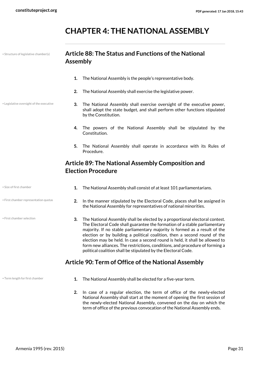# <span id="page-30-0"></span>**CHAPTER 4: THE NATIONAL ASSEMBLY**

• Structure of legislative chamber(s)

• Legislative oversight of the executive

#### **Article 88: The Status and Functions of the National Assembly**

- <span id="page-30-1"></span>**1.** The National Assembly is the people's representative body.
- **2.** The National Assembly shall exercise the legislative power.
- **3.** The National Assembly shall exercise oversight of the executive power, shall adopt the state budget, and shall perform other functions stipulated by the Constitution.
	- **4.** The powers of the National Assembly shall be stipulated by the Constitution.
	- **5.** The National Assembly shall operate in accordance with its Rules of Procedure.

#### <span id="page-30-2"></span>**Article 89: The National Assembly Composition and Election Procedure**

| • Size of first chamber               |    | The National Assembly shall consist of at least 101 parliamentarians.                                                                                                                                                                   |
|---------------------------------------|----|-----------------------------------------------------------------------------------------------------------------------------------------------------------------------------------------------------------------------------------------|
| • First chamber representation quotas | 2. | In the manner stipulated by the Electoral Code, places shall be assigned in<br>the National Assembly for representatives of national minorities.                                                                                        |
| • First chamber selection             | 3. | The National Assembly shall be elected by a proportional electoral contest.<br>The Electoral Code shall guarantee the formation of a stable parliamentary<br>majority. If no stable parliamentary majority is formed as a result of the |

<span id="page-30-3"></span>majority. If no stable parliamentary majority is formed as a result of the election or by building a political coalition, then a second round of the election may be held. In case a second round is held, it shall be allowed to form new alliances. The restrictions, conditions, and procedure of forming a political coalition shall be stipulated by the Electoral Code.

### **Article 90: Term of Office of the National Assembly**

- Term length for first chamber **1.** The National Assembly shall be elected for a five-year term.
	- **2.** In case of a regular election, the term of office of the newly-elected National Assembly shall start at the moment of opening the first session of the newly-elected National Assembly, convened on the day on which the term of office of the previous convocation of the National Assembly ends.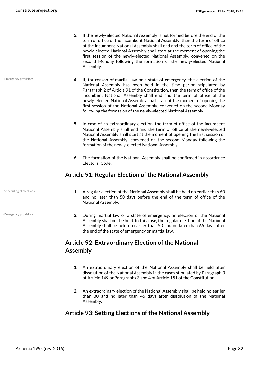- **3.** If the newly-elected National Assembly is not formed before the end of the term of office of the incumbent National Assembly, then the term of office of the incumbent National Assembly shall end and the term of office of the newly-elected National Assembly shall start at the moment of opening the first session of the newly-elected National Assembly, convened on the second Monday following the formation of the newly-elected National Assembly.
- **4.** If, for reason of martial law or a state of emergency, the election of the National Assembly has been held in the time period stipulated by Paragraph 2 of Article 91 of the Constitution, then the term of office of the incumbent National Assembly shall end and the term of office of the newly-elected National Assembly shall start at the moment of opening the first session of the National Assembly, convened on the second Monday following the formation of the newly-elected National Assembly.
	- **5.** In case of an extraordinary election, the term of office of the incumbent National Assembly shall end and the term of office of the newly-elected National Assembly shall start at the moment of opening the first session of the National Assembly, convened on the second Monday following the formation of the newly-elected National Assembly.
	- **6.** The formation of the National Assembly shall be confirmed in accordance Electoral Code.

#### **Article 91: Regular Election of the National Assembly**

• Scheduling of elections

• Emergency provisions

• Emergency provisions

- <span id="page-31-0"></span>**1.** A regular election of the National Assembly shall be held no earlier than 60 and no later than 50 days before the end of the term of office of the National Assembly.
- **2.** During martial law or a state of emergency, an election of the National Assembly shall not be held. In this case, the regular election of the National Assembly shall be held no earlier than 50 and no later than 65 days after the end of the state of emergency or martial law.

### **Article 92: Extraordinary Election of the National Assembly**

- <span id="page-31-1"></span>**1.** An extraordinary election of the National Assembly shall be held after dissolution of the National Assembly in the cases stipulated by Paragraph 3 of Article 149 or Paragraphs 3 and 4 of Article 151 of the Constitution.
- <span id="page-31-2"></span>**2.** An extraordinary election of the National Assembly shall be held no earlier than 30 and no later than 45 days after dissolution of the National Assembly.

#### **Article 93: Setting Elections of the National Assembly**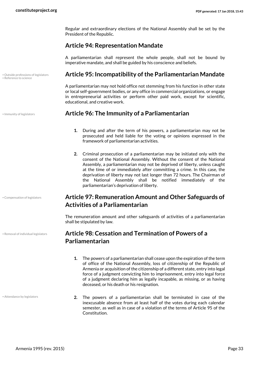Regular and extraordinary elections of the National Assembly shall be set by the President of the Republic.

#### <span id="page-32-0"></span>**Article 94: Representation Mandate**

A parliamentarian shall represent the whole people, shall not be bound by imperative mandate, and shall be guided by his conscience and beliefs.

#### • Outside professions of legislators **Article 95: Incompatibility of the Parliamentarian Mandate**

<span id="page-32-1"></span>A parliamentarian may not hold office not stemming from his function in other state or local self-government bodies, or any office in commercial organizations, or engage in entrepreneurial activities or perform other paid work, except for scientific, educational, and creative work.

#### • Immunity of legislators **Article 96: The Immunity of a Parliamentarian**

- <span id="page-32-2"></span>**1.** During and after the term of his powers, a parliamentarian may not be prosecuted and held liable for the voting or opinions expressed in the framework of parliamentarian activities.
- **2.** Criminal prosecution of a parliamentarian may be initiated only with the consent of the National Assembly. Without the consent of the National Assembly, a parliamentarian may not be deprived of liberty, unless caught at the time of or immediately after committing a crime. In this case, the deprivation of liberty may not last longer than 72 hours. The Chairman of the National Assembly shall be notified immediately of the parliamentarian's deprivation of liberty.

#### <span id="page-32-3"></span>**Article 97: Remuneration Amount and Other Safeguards of Activities of a Parliamentarian**

The remuneration amount and other safeguards of activities of a parliamentarian shall be stipulated by law.

#### **Article 98: Cessation and Termination of Powers of a Parliamentarian**

- <span id="page-32-4"></span>**1.** The powers of a parliamentarian shall cease upon the expiration of the term of office of the National Assembly, loss of citizenship of the Republic of Armenia or acquisition of the citizenship of a different state, entry into legal force of a judgment convicting him to imprisonment, entry into legal force of a judgment declaring him as legally incapable, as missing, or as having deceased, or his death or his resignation.
- **2.** The powers of a parliamentarian shall be terminated in case of the inexcusable absence from at least half of the votes during each calendar semester, as well as in case of a violation of the terms of Article 95 of the Constitution.

• Reference to science

• Compensation of legislators

• Removal of individual legislators

• Attendance by legislators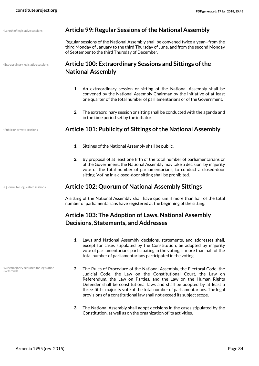<span id="page-33-1"></span><span id="page-33-0"></span>

| • Length of legislative sessions     | <b>Article 99: Regular Sessions of the National Assembly</b>                                                                                                                                                                                                                                               |  |
|--------------------------------------|------------------------------------------------------------------------------------------------------------------------------------------------------------------------------------------------------------------------------------------------------------------------------------------------------------|--|
|                                      | Regular sessions of the National Assembly shall be convened twice a year–from the<br>third Monday of January to the third Thursday of June, and from the second Monday<br>of September to the third Thursday of December.                                                                                  |  |
| • Extraordinary legislative sessions | Article 100: Extraordinary Sessions and Sittings of the                                                                                                                                                                                                                                                    |  |
|                                      | <b>National Assembly</b>                                                                                                                                                                                                                                                                                   |  |
|                                      | An extraordinary session or sitting of the National Assembly shall be<br>1.<br>convened by the National Assembly Chairman by the initiative of at least<br>one quarter of the total number of parliamentarians or of the Government.                                                                       |  |
|                                      | The extraordinary session or sitting shall be conducted with the agenda and<br>2.<br>in the time period set by the initiator.                                                                                                                                                                              |  |
| • Public or private sessions         | Article 101: Publicity of Sittings of the National Assembly                                                                                                                                                                                                                                                |  |
|                                      | 1.<br>Sittings of the National Assembly shall be public.                                                                                                                                                                                                                                                   |  |
|                                      | 2.<br>By proposal of at least one fifth of the total number of parliamentarians or<br>of the Government, the National Assembly may take a decision, by majority<br>vote of the total number of parliamentarians, to conduct a closed-door<br>sitting. Voting in a closed-door sitting shall be prohibited. |  |
| · Quorum for legislative sessions    | <b>Article 102: Quorum of National Assembly Sittings</b>                                                                                                                                                                                                                                                   |  |
|                                      | A sitting of the National Assembly shall have quorum if more than half of the total<br>number of parliamentarians have registered at the beginning of the sitting.                                                                                                                                         |  |
|                                      | Article 103: The Adoption of Laws, National Assembly<br><b>Decisions, Statements, and Addresses</b>                                                                                                                                                                                                        |  |

- <span id="page-33-4"></span><span id="page-33-3"></span><span id="page-33-2"></span>**1.** Laws and National Assembly decisions, statements, and addresses shall, except for cases stipulated by the Constitution, be adopted by majority vote of parliamentarians participating in the voting, if more than half of the total number of parliamentarians participated in the voting.
- Supermajority required for legislation Referenda
- **2.** The Rules of Procedure of the National Assembly, the Electoral Code, the Judicial Code, the Law on the Constitutional Court, the Law on Referendum, the Law on Parties, and the Law on the Human Rights Defender shall be constitutional laws and shall be adopted by at least a three-fifths majority vote of the total number of parliamentarians. The legal provisions of a constitutional law shall not exceed its subject scope.
	- **3.** The National Assembly shall adopt decisions in the cases stipulated by the Constitution, as well as on the organization of its activities.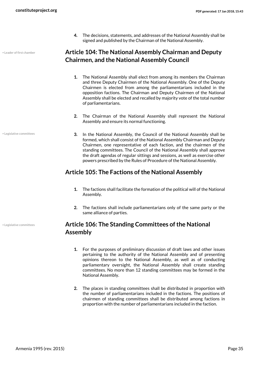**4.** The decisions, statements, and addresses of the National Assembly shall be signed and published by the Chairman of the National Assembly.

• Leader of first chamber

**Article 104: The National Assembly Chairman and Deputy Chairmen, and the National Assembly Council**

- <span id="page-34-0"></span>**1.** The National Assembly shall elect from among its members the Chairman and three Deputy Chairmen of the National Assembly. One of the Deputy Chairmen is elected from among the parliamentarians included in the opposition factions. The Chairman and Deputy Chairmen of the National Assembly shall be elected and recalled by majority vote of the total number of parliamentarians.
- **2.** The Chairman of the National Assembly shall represent the National Assembly and ensure its normal functioning.
- **3.** In the National Assembly, the Council of the National Assembly shall be formed, which shall consist of the National Assembly Chairman and Deputy Chairmen, one representative of each faction, and the chairmen of the standing committees. The Council of the National Assembly shall approve the draft agendas of regular sittings and sessions, as well as exercise other powers prescribed by the Rules of Procedure of the National Assembly.

#### **Article 105: The Factions of the National Assembly**

- <span id="page-34-1"></span>**1.** The factions shall facilitate the formation of the political will of the National Assembly.
- **2.** The factions shall include parliamentarians only of the same party or the same alliance of parties.

#### <span id="page-34-2"></span>**Article 106: The Standing Committees of the National Assembly**

- **1.** For the purposes of preliminary discussion of draft laws and other issues pertaining to the authority of the National Assembly and of presenting opinions thereon to the National Assembly, as well as of conducting parliamentary oversight, the National Assembly shall create standing committees. No more than 12 standing committees may be formed in the National Assembly.
- **2.** The places in standing committees shall be distributed in proportion with the number of parliamentarians included in the factions. The positions of chairmen of standing committees shall be distributed among factions in proportion with the number of parliamentarians included in the faction.

• Legislative committees

• Legislative committees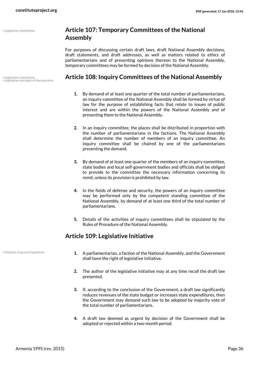• Legislative committees

• Legislative committees<br>• Legislative oversight of the executive

#### <span id="page-35-0"></span>**Article 107: Temporary Committees of the National Assembly**

For purposes of discussing certain draft laws, draft National Assembly decisions, draft statements, and draft addresses, as well as matters related to ethics of parliamentarians and of presenting opinions thereon to the National Assembly, temporary committees may be formed by decision of the National Assembly.

#### • Legislative committees **Article 108: Inquiry Committees of the National Assembly**

- <span id="page-35-1"></span>**1.** By demand of at least one quarter of the total number of parliamentarians, an inquiry committee of the National Assembly shall be formed by virtue of law for the purpose of establishing facts that relate to issues of public interest and are within the powers of the National Assembly and of presenting them to the National Assembly.
- **2.** In an inquiry committee, the places shall be distributed in proportion with the number of parliamentarians in the factions. The National Assembly shall determine the number of members of an inquiry committee. An inquiry committee shall be chaired by one of the parliamentarians presenting the demand.
- **3.** By demand of at least one quarter of the members of an inquiry committee, state bodies and local self-government bodies and officials shall be obliged to provide to the committee the necessary information concerning its remit, unless its provision is prohibited by law.
- **4.** In the fields of defense and security, the powers of an inquiry committee may be performed only by the competent standing committee of the National Assembly, by demand of at least one third of the total number of parliamentarians.
- <span id="page-35-2"></span>**5.** Details of the activities of inquiry committees shall be stipulated by the Rules of Procedure of the National Assembly.

#### **Article 109: Legislative Initiative**

• Initiation of general legislation

- **1.** A parliamentarian, a faction of the National Assembly, and the Government shall have the right of legislative initiative.
- **2.** The author of the legislative initiative may at any time recall the draft law presented.
- **3.** If, according to the conclusion of the Government, a draft law significantly reduces revenues of the state budget or increases state expenditures, then the Government may demand such law to be adopted by majority vote of the total number of parliamentarians.
- **4.** A draft law deemed as urgent by decision of the Government shall be adopted or rejected within a two-month period.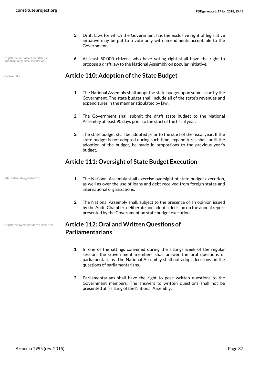- Legislative initiatives by citizens
- 
- Initiation of general legislation
- **6.** At least 50,000 citizens who have voting right shall have the right to propose a draft law to the National Assembly on popular initiative.

**5.** Draft laws for which the Government has the exclusive right of legislative initiative may be put to a vote only with amendments acceptable to the

#### • Budget bills **Article 110: Adoption of the State Budget**

Government.

- **1.** The National Assembly shall adopt the state budget upon submission by the Government. The state budget shall include all of the state's revenues and expenditures in the manner stipulated by law.
- **2.** The Government shall submit the draft state budget to the National Assembly at least 90 days prior to the start of the fiscal year.
- **3.** The state budget shall be adopted prior to the start of the fiscal year. If the state budget is not adopted during such time, expenditures shall, until the adoption of the budget, be made in proportions to the previous year's budget.

## **Article 111: Oversight of State Budget Execution**

• International organizations

• Legislative oversight of the executive

- **1.** The National Assembly shall exercise oversight of state budget execution, as well as over the use of loans and debt received from foreign states and international organizations.
- **2.** The National Assembly shall, subject to the presence of an opinion issued by the Audit Chamber, deliberate and adopt a decision on the annual report presented by the Government on state budget execution.

## **Article 112: Oral and Written Questions of Parliamentarians**

- **1.** In one of the sittings convened during the sittings week of the regular session, the Government members shall answer the oral questions of parliamentarians. The National Assembly shall not adopt decisions on the questions of parliamentarians.
- **2.** Parliamentarians shall have the right to pose written questions to the Government members. The answers to written questions shall not be presented at a sitting of the National Assembly.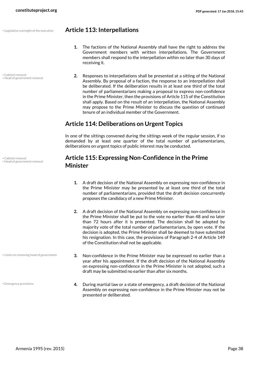• Cabinet removal • Head of government removal

• Legislative oversight of the executive **Article 113: Interpellations**

- **1.** The factions of the National Assembly shall have the right to address the Government members with written interpellations. The Government members shall respond to the interpellation within no later than 30 days of receiving it.
- **2.** Responses to interpellations shall be presented at a sitting of the National Assembly. By proposal of a faction, the response to an interpellation shall be deliberated. If the deliberation results in at least one third of the total number of parliamentarians making a proposal to express non-confidence in the Prime Minister, then the provisions of Article 115 of the Constitution shall apply. Based on the result of an interpellation, the National Assembly may propose to the Prime Minister to discuss the question of continued tenure of an individual member of the Government.

## **Article 114: Deliberations on Urgent Topics**

In one of the sittings convened during the sittings week of the regular session, if so demanded by at least one quarter of the total number of parliamentarians, deliberations on urgent topics of public interest may be conducted.

#### **Article 115: Expressing Non-Confidence in the Prime Minister**

- **1.** A draft decision of the National Assembly on expressing non-confidence in the Prime Minister may be presented by at least one third of the total number of parliamentarians, provided that the draft decision concurrently proposes the candidacy of a new Prime Minister.
- **2.** A draft decision of the National Assembly on expressing non-confidence in the Prime Minister shall be put to the vote no earlier than 48 and no later than 72 hours after it is presented. The decision shall be adopted by majority vote of the total number of parliamentarians, by open vote. If the decision is adopted, the Prime Minister shall be deemed to have submitted his resignation. In this case, the provisions of Paragraph 2-4 of Article 149 of the Constitution shall not be applicable.
- **3.** Non-confidence in the Prime Minister may be expressed no earlier than a year after his appointment. If the draft decision of the National Assembly on expressing non-confidence in the Prime Minister is not adopted, such a draft may be submitted no earlier than after six months.
- **4.** During martial law or a state of emergency, a draft decision of the National Assembly on expressing non-confidence in the Prime Minister may not be presented or deliberated.

Cabinet removal • Head of government removal

• Limits on removing head of government

• Emergency provisions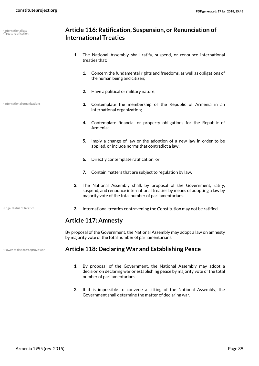• International law • Treaty ratification

• International organizations

- **1.** The National Assembly shall ratify, suspend, or renounce international treaties that:
	- **1.** Concern the fundamental rights and freedoms, as well as obligations of the human being and citizen;
	- **2.** Have a political or military nature;

**International Treaties**

- **3.** Contemplate the membership of the Republic of Armenia in an international organization;
- **4.** Contemplate financial or property obligations for the Republic of Armenia;
- **5.** Imply a change of law or the adoption of a new law in order to be applied, or include norms that contradict a law;
- **6.** Directly contemplate ratification; or
- **7.** Contain matters that are subject to regulation by law.
- **2.** The National Assembly shall, by proposal of the Government, ratify, suspend, and renounce international treaties by means of adopting a law by majority vote of the total number of parliamentarians.

- 
- **<sup>• Legal status of treaties 19. International treaties contravening the Constitution may not be ratified.**</sup>

#### **Article 117: Amnesty**

By proposal of the Government, the National Assembly may adopt a law on amnesty by majority vote of the total number of parliamentarians.

#### • Power to declare/approve war **Article 118: Declaring War and Establishing Peace**

- **1.** By proposal of the Government, the National Assembly may adopt a decision on declaring war or establishing peace by majority vote of the total number of parliamentarians.
- **2.** If it is impossible to convene a sitting of the National Assembly, the Government shall determine the matter of declaring war.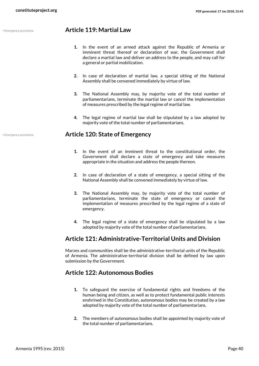#### • Emergency provisions **Article 119: Martial Law**

- **1.** In the event of an armed attack against the Republic of Armenia or imminent threat thereof or declaration of war, the Government shall declare a martial law and deliver an address to the people, and may call for a general or partial mobilization.
- **2.** In case of declaration of martial law, a special sitting of the National Assembly shall be convened immediately by virtue of law.
- **3.** The National Assembly may, by majority vote of the total number of parliamentarians, terminate the martial law or cancel the implementation of measures prescribed by the legal regime of martial law.
- **4.** The legal regime of martial law shall be stipulated by a law adopted by majority vote of the total number of parliamentarians.

#### • Emergency provisions **Article 120: State of Emergency**

- **1.** In the event of an imminent threat to the constitutional order, the Government shall declare a state of emergency and take measures appropriate in the situation and address the people thereon.
- **2.** In case of declaration of a state of emergency, a special sitting of the National Assembly shall be convened immediately by virtue of law.
- **3.** The National Assembly may, by majority vote of the total number of parliamentarians, terminate the state of emergency or cancel the implementation of measures prescribed by the legal regime of a state of emergency.
- **4.** The legal regime of a state of emergency shall be stipulated by a law adopted by majority vote of the total number of parliamentarians.

#### **Article 121: Administrative-Territorial Units and Division**

Marzes and communities shall be the administrative-territorial units of the Republic of Armenia. The administrative-territorial division shall be defined by law upon submission by the Government.

#### **Article 122: Autonomous Bodies**

- **1.** To safeguard the exercise of fundamental rights and freedoms of the human being and citizen, as well as to protect fundamental public interests enshrined in the Constitution, autonomous bodies may be created by a law adopted by majority vote of the total number of parliamentarians.
- **2.** The members of autonomous bodies shall be appointed by majority vote of the total number of parliamentarians.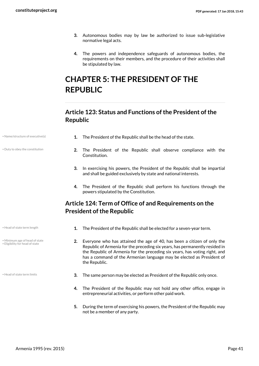- **3.** Autonomous bodies may by law be authorized to issue sub-legislative normative legal acts.
- **4.** The powers and independence safeguards of autonomous bodies, the requirements on their members, and the procedure of their activities shall be stipulated by law.

# **CHAPTER 5: THE PRESIDENT OF THE REPUBLIC**

## **Article 123: Status and Functions of the President of the Republic**

| Name/structure of executive(s) |  |  |  |
|--------------------------------|--|--|--|
|--------------------------------|--|--|--|

- Duty to obey the constitution
- **1.** The President of the Republic shall be the head of the state.
- **2.** The President of the Republic shall observe compliance with the Constitution.
- **3.** In exercising his powers, the President of the Republic shall be impartial and shall be guided exclusively by state and national interests.
- **4.** The President of the Republic shall perform his functions through the powers stipulated by the Constitution.

## **Article 124: Term of Office of and Requirements on the President of the Republic**

- 
- Minimum age of head of state • Eligibility for head of state
- 
- Head of state term length **1.** The President of the Republic shall be elected for a seven-year term.
	- **2.** Everyone who has attained the age of 40, has been a citizen of only the Republic of Armenia for the preceding six years, has permanently resided in the Republic of Armenia for the preceding six years, has voting right, and has a command of the Armenian language may be elected as President of the Republic.
- Head of state term limits **3.** The same person may be elected as President of the Republic only once.
	- **4.** The President of the Republic may not hold any other office, engage in entrepreneurial activities, or perform other paid work.
	- **5.** During the term of exercising his powers, the President of the Republic may not be a member of any party.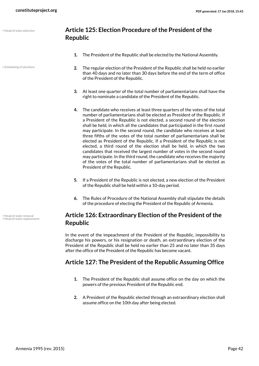• Scheduling of elections

#### **Article 125: Election Procedure of the President of the Republic**

- **1.** The President of the Republic shall be elected by the National Assembly.
- **2.** The regular election of the President of the Republic shall be held no earlier than 40 days and no later than 30 days before the end of the term of office of the President of the Republic.
- **3.** At least one quarter of the total number of parliamentarians shall have the right to nominate a candidate of the President of the Republic.
- **4.** The candidate who receives at least three quarters of the votes of the total number of parliamentarians shall be elected as President of the Republic. If a President of the Republic is not elected, a second round of the election shall be held, in which all the candidates that participated in the first round may participate. In the second round, the candidate who receives at least three fifths of the votes of the total number of parliamentarians shall be elected as President of the Republic. If a President of the Republic is not elected, a third round of the election shall be held, in which the two candidates that received the largest number of votes in the second round may participate. In the third round, the candidate who receives the majority of the votes of the total number of parliamentarians shall be elected as President of the Republic.
- **5.** If a President of the Republic is not elected, a new election of the President of the Republic shall be held within a 10-day period.
- **6.** The Rules of Procedure of the National Assembly shall stipulate the details of the procedure of electing the President of the Republic of Armenia.

#### **Article 126: Extraordinary Election of the President of the Republic**

In the event of the impeachment of the President of the Republic, impossibility to discharge his powers, or his resignation or death, an extraordinary election of the President of the Republic shall be held no earlier than 25 and no later than 35 days after the office of the President of the Republic has become vacant.

## **Article 127: The President of the Republic Assuming Office**

- **1.** The President of the Republic shall assume office on the day on which the powers of the previous President of the Republic end.
- **2.** A President of the Republic elected through an extraordinary election shall assume office on the 10th day after being elected.

• Head of state removal • Head of state replacement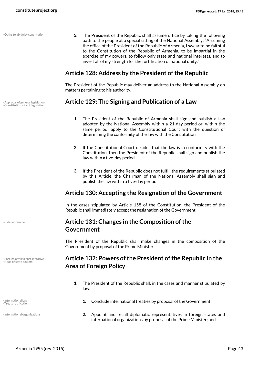**3.** The President of the Republic shall assume office by taking the following oath to the people at a special sitting of the National Assembly: "Assuming the office of the President of the Republic of Armenia, I swear to be faithful to the Constitution of the Republic of Armenia, to be impartial in the exercise of my powers, to follow only state and national interests, and to invest all of my strength for the fortification of national unity." • Oaths to abide by constitution

#### **Article 128: Address by the President of the Republic**

The President of the Republic may deliver an address to the National Assembly on matters pertaining to his authority.

## • Approval of general legislation **Article 129: The Signing and Publication of a Law** • Constitutionality of legislation

- **1.** The President of the Republic of Armenia shall sign and publish a law adopted by the National Assembly within a 21-day period or, within the same period, apply to the Constitutional Court with the question of determining the conformity of the law with the Constitution.
- **2.** If the Constitutional Court decides that the law is in conformity with the Constitution, then the President of the Republic shall sign and publish the law within a five-day period.
- **3.** If the President of the Republic does not fulfill the requirements stipulated by this Article, the Chairman of the National Assembly shall sign and publish the law within a five-day period.

#### **Article 130: Accepting the Resignation of the Government**

In the cases stipulated by Article 158 of the Constitution, the President of the Republic shall immediately accept the resignation of the Government.

## **Article 131: Changes in the Composition of the Government**

The President of the Republic shall make changes in the composition of the Government by proposal of the Prime Minister.

#### **Article 132: Powers of the President of the Republic in the Area of Foreign Policy**

- **1.** The President of the Republic shall, in the cases and manner stipulated by law:
- **t** international law **1.** Conclude international treaties by proposal of the Government;
	- **2.** Appoint and recall diplomatic representatives in foreign states and international organizations by proposal of the Prime Minister; and

• Cabinet removal

• Treaty ratification

• International organizations

• Foreign affairs representative • Head of state powers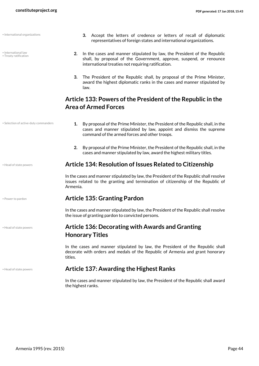• International organizations

| • International law<br>• Treaty ratification | In the cases and manner stipulated by law, the President of the Republic<br>2.<br>shall, by proposal of the Government, approve, suspend, or renounce<br>international treaties not requiring ratification.                                        |  |  |
|----------------------------------------------|----------------------------------------------------------------------------------------------------------------------------------------------------------------------------------------------------------------------------------------------------|--|--|
|                                              | 3.<br>The President of the Republic shall, by proposal of the Prime Minister,<br>award the highest diplomatic ranks in the cases and manner stipulated by<br>law.                                                                                  |  |  |
|                                              | Article 133: Powers of the President of the Republic in the<br><b>Area of Armed Forces</b>                                                                                                                                                         |  |  |
| • Selection of active-duty commanders        | By proposal of the Prime Minister, the President of the Republic shall, in the<br>1.<br>cases and manner stipulated by law, appoint and dismiss the supreme<br>command of the armed forces and other troops.                                       |  |  |
|                                              | 2.<br>By proposal of the Prime Minister, the President of the Republic shall, in the<br>cases and manner stipulated by law, award the highest military titles.                                                                                     |  |  |
| • Head of state powers                       | Article 134: Resolution of Issues Related to Citizenship<br>In the cases and manner stipulated by law, the President of the Republic shall resolve<br>issues related to the granting and termination of citizenship of the Republic of<br>Armenia. |  |  |
|                                              |                                                                                                                                                                                                                                                    |  |  |
| . Power to pardon                            | <b>Article 135: Granting Pardon</b>                                                                                                                                                                                                                |  |  |
|                                              | In the cases and manner stipulated by law, the President of the Republic shall resolve<br>the issue of granting pardon to convicted persons.                                                                                                       |  |  |
| · Head of state powers                       | <b>Article 136: Decorating with Awards and Granting</b><br><b>Honorary Titles</b>                                                                                                                                                                  |  |  |
|                                              | In the cases and manner stipulated by law, the President of the Republic shall<br>decorate with orders and medals of the Republic of Armenia and grant honorary<br>titles.                                                                         |  |  |
| • Head of state powers                       | <b>Article 137: Awarding the Highest Ranks</b>                                                                                                                                                                                                     |  |  |
|                                              | In the cases and manner stipulated by law, the President of the Republic shall award<br>the highest ranks.                                                                                                                                         |  |  |

**3.** Accept the letters of credence or letters of recall of diplomatic representatives of foreign states and international organizations.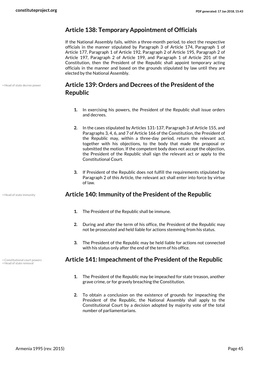#### **Article 138: Temporary Appointment of Officials**

If the National Assembly fails, within a three-month period, to elect the respective officials in the manner stipulated by Paragraph 3 of Article 174, Paragraph 1 of Article 177, Paragraph 1 of Article 192, Paragraph 2 of Article 195, Paragraph 2 of Article 197, Paragraph 2 of Article 199, and Paragraph 1 of Article 201 of the Constitution, then the President of the Republic shall appoint temporary acting officials in the manner and based on the grounds stipulated by law until they are elected by the National Assembly.

• Head of state decree power

## **Article 139: Orders and Decrees of the President of the Republic**

- **1.** In exercising his powers, the President of the Republic shall issue orders and decrees.
- **2.** In the cases stipulated by Articles 131-137, Paragraph 3 of Article 155, and Paragraphs 3, 4, 6, and 7 of Article 166 of the Constitution, the President of the Republic may, within a three-day period, return the relevant act, together with his objections, to the body that made the proposal or submitted the motion. If the competent body does not accept the objection, the President of the Republic shall sign the relevant act or apply to the Constitutional Court.
- **3.** If President of the Republic does not fulfill the requirements stipulated by Paragraph 2 of this Article, the relevant act shall enter into force by virtue of law.

#### • Head of state immunity **Article 140: Immunity of the President of the Republic**

- **1.** The President of the Republic shall be immune.
- **2.** During and after the term of his office, the President of the Republic may not be prosecuted and held liable for actions stemming from his status.
- **3.** The President of the Republic may be held liable for actions not connected with his status only after the end of the term of his office.

#### • Constitutional court powers **Article 141: Impeachment of the President of the Republic**

- **1.** The President of the Republic may be impeached for state treason, another grave crime, or for gravely breaching the Constitution.
- **2.** To obtain a conclusion on the existence of grounds for impeaching the President of the Republic, the National Assembly shall apply to the Constitutional Court by a decision adopted by majority vote of the total number of parliamentarians.

• Head of state remov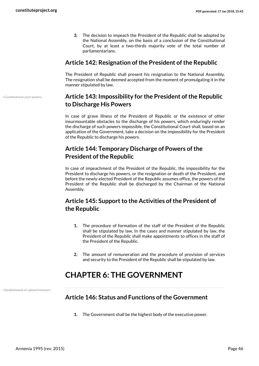• Constitutional court powers

**3.** The decision to impeach the President of the Republic shall be adopted by the National Assembly, on the basis of a conclusion of the Constitutional Court, by at least a two-thirds majority vote of the total number of parliamentarians.

#### **Article 142: Resignation of the President of the Republic**

The President of Republic shall present his resignation to the National Assembly. The resignation shall be deemed accepted from the moment of promulgating it in the manner stipulated by law.

## **Article 143: Impossibility for the President of the Republic to Discharge His Powers**

In case of grave illness of the President of Republic or the existence of other insurmountable obstacles to the discharge of his powers, which enduringly render the discharge of such powers impossible, the Constitutional Court shall, based on an application of the Government, take a decision on the impossibility for the President of the Republic to discharge his powers.

## **Article 144: Temporary Discharge of Powers of the President of the Republic**

In case of impeachment of the President of the Republic, the impossibility for the President to discharge his powers, or the resignation or death of the President, and before the newly-elected President of the Republic assumes office, the powers of the President of the Republic shall be discharged by the Chairman of the National Assembly.

## **Article 145: Support to the Activities of the President of the Republic**

- **1.** The procedure of formation of the staff of the President of the Republic shall be stipulated by law. In the cases and manner stipulated by law, the President of the Republic shall make appointments to offices in the staff of the President of the Republic.
- **2.** The amount of remuneration and the procedure of provision of services and security to the President of the Republic shall be stipulated by law.

## **CHAPTER 6: THE GOVERNMENT**

• Establishment of cabinet/ministers

## **Article 146: Status and Functions of the Government**

**1.** The Government shall be the highest body of the executive power.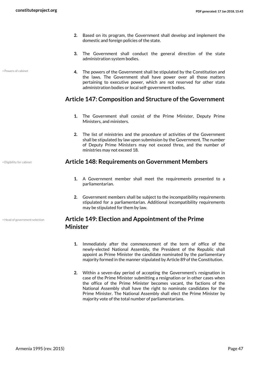- **2.** Based on its program, the Government shall develop and implement the domestic and foreign policies of the state.
- **3.** The Government shall conduct the general direction of the state administration system bodies.
- **4.** The powers of the Government shall be stipulated by the Constitution and the laws. The Government shall have power over all those matters pertaining to executive power, which are not reserved for other state administration bodies or local self-government bodies.

## **Article 147: Composition and Structure of the Government**

- **1.** The Government shall consist of the Prime Minister, Deputy Prime Ministers, and ministers.
- **2.** The list of ministries and the procedure of activities of the Government shall be stipulated by law upon submission by the Government. The number of Deputy Prime Ministers may not exceed three, and the number of ministries may not exceed 18.

#### • Eligibility for cabinet **Article 148: Requirements on Government Members**

- **1.** A Government member shall meet the requirements presented to a parliamentarian.
- **2.** Government members shall be subject to the incompatibility requirements stipulated for a parliamentarian. Additional incompatibility requirements may be stipulated for them by law.

## **Article 149: Election and Appointment of the Prime Minister**

- **1.** Immediately after the commencement of the term of office of the newly-elected National Assembly, the President of the Republic shall appoint as Prime Minister the candidate nominated by the parliamentary majority formed in the manner stipulated by Article 89 of the Constitution.
- **2.** Within a seven-day period of accepting the Government's resignation in case of the Prime Minister submitting a resignation or in other cases when the office of the Prime Minister becomes vacant, the factions of the National Assembly shall have the right to nominate candidates for the Prime Minister. The National Assembly shall elect the Prime Minister by majority vote of the total number of parliamentarians.

• Powers of cabinet

• Head of government selection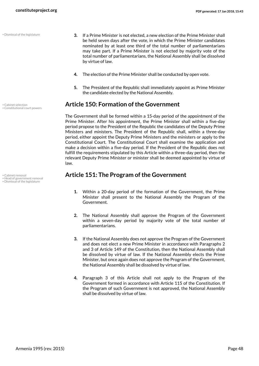• Dismissal of the legislature

• Constitutional court powers

• Head of government removal • Dismissal of the legislature

- **3.** If a Prime Minister is not elected, a new election of the Prime Minister shall be held seven days after the vote, in which the Prime Minister candidates nominated by at least one third of the total number of parliamentarians may take part. If a Prime Minister is not elected by majority vote of the total number of parliamentarians, the National Assembly shall be dissolved by virtue of law.
- **4.** The election of the Prime Minister shall be conducted by open vote.
- **5.** The President of the Republic shall immediately appoint as Prime Minister the candidate elected by the National Assembly.

#### • Cabinet selection **Article 150: Formation of the Government**

The Government shall be formed within a 15-day period of the appointment of the Prime Minister. After his appointment, the Prime Minister shall within a five-day period propose to the President of the Republic the candidates of the Deputy Prime Ministers and ministers. The President of the Republic shall, within a three-day period, either appoint the Deputy Prime Ministers and the ministers or apply to the Constitutional Court. The Constitutional Court shall examine the application and make a decision within a five-day period. If the President of the Republic does not fulfill the requirements stipulated by this Article within a three-day period, then the relevant Deputy Prime Minister or minister shall be deemed appointed by virtue of law.

#### **Cabinet removal Cabinet removal Article 151: The Program of the Government**

- **1.** Within a 20-day period of the formation of the Government, the Prime Minister shall present to the National Assembly the Program of the Government.
- **2.** The National Assembly shall approve the Program of the Government within a seven-day period by majority vote of the total number of parliamentarians.
- **3.** If the National Assembly does not approve the Program of the Government and does not elect a new Prime Minister in accordance with Paragraphs 2 and 3 of Article 149 of the Constitution, then the National Assembly shall be dissolved by virtue of law. If the National Assembly elects the Prime Minister, but once again does not approve the Program of the Government, the National Assembly shall be dissolved by virtue of law.
- **4.** Paragraph 3 of this Article shall not apply to the Program of the Government formed in accordance with Article 115 of the Constitution. If the Program of such Government is not approved, the National Assembly shall be dissolved by virtue of law.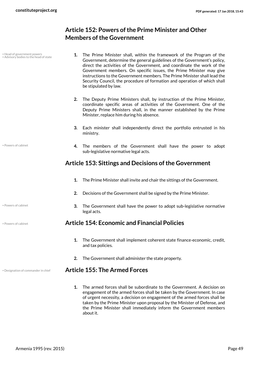## **Article 152: Powers of the Prime Minister and Other Members of the Government**

**1.** The Prime Minister shall, within the framework of the Program of the Government, determine the general guidelines of the Government's policy, direct the activities of the Government, and coordinate the work of the Government members. On specific issues, the Prime Minister may give instructions to the Government members. The Prime Minister shall lead the Security Council, the procedure of formation and operation of which shall be stipulated by law. • Head of government powers • Advisory bodies to the head of state **2.** The Deputy Prime Ministers shall, by instruction of the Prime Minister, coordinate specific areas of activities of the Government. One of the Deputy Prime Ministers shall, in the manner established by the Prime Minister, replace him during his absence. **3.** Each minister shall independently direct the portfolio entrusted in his ministry. **4.** The members of the Government shall have the power to adopt sub-legislative normative legal acts. • Powers of cabinet **Article 153: Sittings and Decisions of the Government 1.** The Prime Minister shall invite and chair the sittings of the Government. **2.** Decisions of the Government shall be signed by the Prime Minister. **3.** The Government shall have the power to adopt sub-legislative normative legal acts. • Powers of cabinet • Powers of cabinet **Article 154: Economic and Financial Policies 1.** The Government shall implement coherent state finance-economic, credit, and tax policies. **2.** The Government shall administer the state property. • Designation of commander in chief **Article 155: The Armed Forces 1.** The armed forces shall be subordinate to the Government. A decision on

engagement of the armed forces shall be taken by the Government. In case of urgent necessity, a decision on engagement of the armed forces shall be taken by the Prime Minister upon proposal by the Minister of Defense, and the Prime Minister shall immediately inform the Government members about it.

Armenia 1995 (rev. 2015) Page 49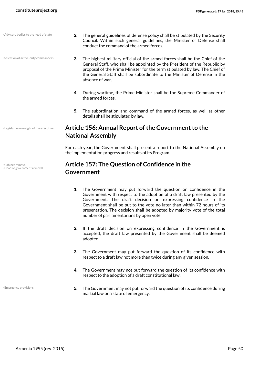- **2.** The general guidelines of defense policy shall be stipulated by the Security Council. Within such general guidelines, the Minister of Defense shall conduct the command of the armed forces. • Advisory bodies to the head of state
	- **3.** The highest military official of the armed forces shall be the Chief of the General Staff, who shall be appointed by the President of the Republic by proposal of the Prime Minister for the term stipulated by law. The Chief of the General Staff shall be subordinate to the Minister of Defense in the absence of war.
	- **4.** During wartime, the Prime Minister shall be the Supreme Commander of the armed forces.
	- **5.** The subordination and command of the armed forces, as well as other details shall be stipulated by law.

## **Article 156: Annual Report of the Government to the National Assembly**

For each year, the Government shall present a report to the National Assembly on the implementation progress and results of its Program.

#### **Article 157: The Question of Confidence in the Government**

- **1.** The Government may put forward the question on confidence in the Government with respect to the adoption of a draft law presented by the Government. The draft decision on expressing confidence in the Government shall be put to the vote no later than within 72 hours of its presentation. The decision shall be adopted by majority vote of the total number of parliamentarians by open vote.
- **2.** If the draft decision on expressing confidence in the Government is accepted, the draft law presented by the Government shall be deemed adopted.
- **3.** The Government may put forward the question of its confidence with respect to a draft law not more than twice during any given session.
- **4.** The Government may not put forward the question of its confidence with respect to the adoption of a draft constitutional law.
- **5.** The Government may not put forward the question of its confidence during martial law or a state of emergency.

• Legislative oversight of the executive

• Selection of active-duty commanders

• Cabinet removal • Head of government removal

• Emergency provisions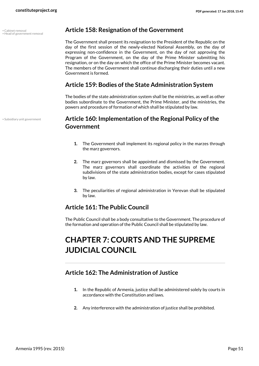• Head of government removal

• Subsidiary unit government

#### • Cabinet removal **Article 158: Resignation of the Government**

The Government shall present its resignation to the President of the Republic on the day of the first session of the newly-elected National Assembly, on the day of expressing non-confidence in the Government, on the day of not approving the Program of the Government, on the day of the Prime Minister submitting his resignation, or on the day on which the office of the Prime Minister becomes vacant. The members of the Government shall continue discharging their duties until a new Government is formed.

#### **Article 159: Bodies of the State Administration System**

The bodies of the state administration system shall be the ministries, as well as other bodies subordinate to the Government, the Prime Minister, and the ministries, the powers and procedure of formation of which shall be stipulated by law.

#### **Article 160: Implementation of the Regional Policy of the Government**

- **1.** The Government shall implement its regional policy in the marzes through the marz governors.
- **2.** The marz governors shall be appointed and dismissed by the Government. The marz governors shall coordinate the activities of the regional subdivisions of the state administration bodies, except for cases stipulated by law.
- **3.** The peculiarities of regional administration in Yerevan shall be stipulated by law.

## **Article 161: The Public Council**

The Public Council shall be a body consultative to the Government. The procedure of the formation and operation of the Public Council shall be stipulated by law.

# **CHAPTER 7: COURTS AND THE SUPREME JUDICIAL COUNCIL**

#### **Article 162: The Administration of Justice**

- **1.** In the Republic of Armenia, justice shall be administered solely by courts in accordance with the Constitution and laws.
- **2.** Any interference with the administration of justice shall be prohibited.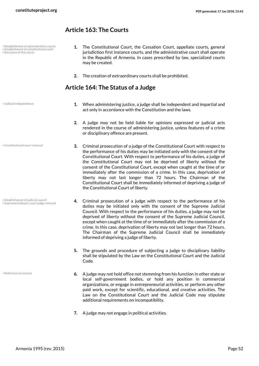#### **Article 163: The Courts**

- Establishment of administrative courts • Establishment of constitutional court
- Structure of the courts
- **1.** The Constitutional Court, the Cassation Court, appellate courts, general jurisdiction first instance courts, and the administrative court shall operate in the Republic of Armenia. In cases prescribed by law, specialized courts may be created.
- **2.** The creation of extraordinary courts shall be prohibited.

## **Article 164: The Status of a Judge**

• Judicial independence

- **1.** When administering justice, a judge shall be independent and impartial and act only in accordance with the Constitution and the laws.
- **2.** A judge may not be held liable for opinions expressed or judicial acts rendered in the course of administering justice, unless features of a crime or disciplinary offence are present.
- **3.** Criminal prosecution of a judge of the Constitutional Court with respect to the performance of his duties may be initiated only with the consent of the Constitutional Court. With respect to performance of his duties, a judge of the Constitutional Court may not be deprived of liberty without the consent of the Constitutional Court, except when caught at the time of or immediately after the commission of a crime. In this case, deprivation of liberty may not last longer than 72 hours. The Chairman of the Constitutional Court shall be immediately informed of depriving a judge of the Constitutional Court of liberty.
	- **4.** Criminal prosecution of a judge with respect to the performance of his duties may be initiated only with the consent of the Supreme Judicial Council. With respect to the performance of his duties, a judge may not be deprived of liberty without the consent of the Supreme Judicial Council, except when caught at the time of or immediately after the commission of a crime. In this case, deprivation of liberty may not last longer than 72 hours. The Chairman of the Supreme Judicial Council shall be immediately informed of depriving a judge of liberty.
	- **5.** The grounds and procedure of subjecting a judge to disciplinary liability shall be stipulated by the Law on the Constitutional Court and the Judicial Code.
	- **6.** A judge may not hold office not stemming from his function in other state or local self-government bodies, or hold any position in commercial organizations, or engage in entrepreneurial activities, or perform any other paid work, except for scientific, educational, and creative activities. The Law on the Constitutional Court and the Judicial Code may stipulate additional requirements on incompatibility.
	- **7.** A judge may not engage in political activities.

• Constitutional court removal

• Establishment of judicial council • Supreme/ordinary court judge removal

• Reference to science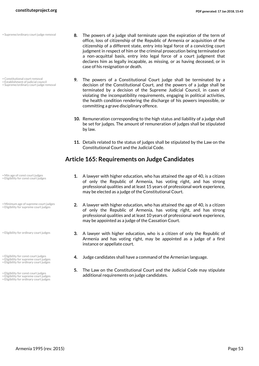• Supreme/ordinary court judge removal

- Constitutional court removal
- Establishment of judicial council • Supreme/ordinary court judge removal

- Min age of const court judges • Eligibility for const court judges
- Minimum age of supreme court judges • Eligibility for supreme court judges
- Eligibility for ordinary court judges
- 
- Eligibility for supreme court judges Eligibility for ordinary court judges
- 
- 
- Eligibility for supreme court judges Eligibility for ordinary court judges
- **8.** The powers of a judge shall terminate upon the expiration of the term of office, loss of citizenship of the Republic of Armenia or acquisition of the citizenship of a different state, entry into legal force of a convicting court judgment in respect of him or the criminal prosecution being terminated on a non-acquittal basis, entry into legal force of a court judgment that declares him as legally incapable, as missing, or as having deceased, or in case of his resignation or death.
- **9.** The powers of a Constitutional Court judge shall be terminated by a decision of the Constitutional Court, and the powers of a judge shall be terminated by a decision of the Supreme Judicial Council, in cases of violating the incompatibility requirements, engaging in political activities, the health condition rendering the discharge of his powers impossible, or committing a grave disciplinary offence.
- **10.** Remuneration corresponding to the high status and liability of a judge shall be set for judges. The amount of remuneration of judges shall be stipulated by law.
- **11.** Details related to the status of judges shall be stipulated by the Law on the Constitutional Court and the Judicial Code.

#### **Article 165: Requirements on Judge Candidates**

- **1.** A lawyer with higher education, who has attained the age of 40, is a citizen of only the Republic of Armenia, has voting right, and has strong professional qualities and at least 15 years of professional work experience, may be elected as a judge of the Constitutional Court.
- **2.** A lawyer with higher education, who has attained the age of 40, is a citizen of only the Republic of Armenia, has voting right, and has strong professional qualities and at least 10 years of professional work experience, may be appointed as a judge of the Cassation Court.
- **3.** A lawyer with higher education, who is a citizen of only the Republic of Armenia and has voting right, may be appointed as a judge of a first instance or appellate court.
- Eligibility for const court judges **4.** Judge candidates shall have a command of the Armenian language.
- **5.** The Law on the Constitutional Court and the Judicial Code may stipulate Eligibility for const court judges<br>
Eligibility for supreme court judges<br> **additional requirements on judge candidates.**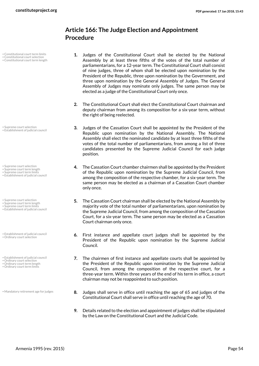## **Article 166: The Judge Election and Appointment Procedure**

- Constitutional court term limits
- Constitutional court selection • Constitutional court term length
- **1.** Judges of the Constitutional Court shall be elected by the National Assembly by at least three fifths of the votes of the total number of parliamentarians, for a 12-year term. The Constitutional Court shall consist of nine judges, three of whom shall be elected upon nomination by the President of the Republic, three upon nomination by the Government, and three upon nomination by the General Assembly of Judges. The General Assembly of Judges may nominate only judges. The same person may be elected as a judge of the Constitutional Court only once.
- **2.** The Constitutional Court shall elect the Constitutional Court chairman and deputy chairman from among its composition for a six-year term, without the right of being reelected.
- **3.** Judges of the Cassation Court shall be appointed by the President of the Republic upon nomination by the National Assembly. The National Assembly shall elect the nominated candidate by at least three fifths of the votes of the total number of parliamentarians, from among a list of three candidates presented by the Supreme Judicial Council for each judge position.
- **4.** The Cassation Court chamber chairmen shall be appointed by the President of the Republic upon nomination by the Supreme Judicial Council, from among the composition of the respective chamber, for a six-year term. The same person may be elected as a chairman of a Cassation Court chamber only once.
- **5.** The Cassation Court chairman shall be elected by the National Assembly by majority vote of the total number of parliamentarians, upon nomination by the Supreme Judicial Council, from among the composition of the Cassation Court, for a six-year term. The same person may be elected as a Cassation Court chairman only once.
- **6.** First instance and appellate court judges shall be appointed by the President of the Republic upon nomination by the Supreme Judicial Council.
- **7.** The chairmen of first instance and appellate courts shall be appointed by the President of the Republic upon nomination by the Supreme Judicial Council, from among the composition of the respective court, for a three-year term. Within three years of the end of his term in office, a court chairman may not be reappointed to such position.
- **8.** Judges shall serve in office until reaching the age of 65 and judges of the Constitutional Court shall serve in office until reaching the age of 70.
- **9.** Details related to the election and appointment of judges shall be stipulated by the Law on the Constitutional Court and the Judicial Code.

• Supreme court selection • Establishment of judicial council

- Supreme court selection
- Supreme court term length Supreme court term limits
- Establishment of judicial council
- Supreme court selection
- Supreme court term length Supreme court term limits
- Establishment of judicial council
- Establishment of judicial council • Ordinary court selection
- Establishment of judicial council
- Ordinary court selection Ordinary court term length
- Ordinary court term limits

• Mandatory retirement age for judges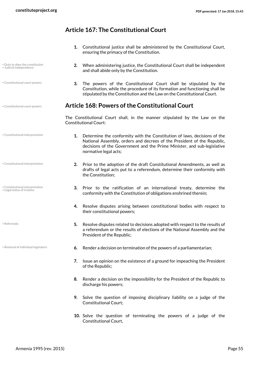## **Article 167: The Constitutional Court**

- **1.** Constitutional justice shall be administered by the Constitutional Court, ensuring the primacy of the Constitution.
- **2.** When administering justice, the Constitutional Court shall be independent and shall abide only by the Constitution.
- **3.** The powers of the Constitutional Court shall be stipulated by the Constitution, while the procedure of its formation and functioning shall be stipulated by the Constitution and the Law on the Constitutional Court.

#### • Constitutional court powers **Article 168: Powers of the Constitutional Court**

The Constitutional Court shall, in the manner stipulated by the Law on the Constitutional Court:

- **1.** Determine the conformity with the Constitution of laws, decisions of the National Assembly, orders and decrees of the President of the Republic, decisions of the Government and the Prime Minister, and sub-legislative normative legal acts;
	- **2.** Prior to the adoption of the draft Constitutional Amendments, as well as drafts of legal acts put to a referendum, determine their conformity with the Constitution;
	- **3.** Prior to the ratification of an international treaty, determine the conformity with the Constitution of obligations enshrined therein;
	- **4.** Resolve disputes arising between constitutional bodies with respect to their constitutional powers;
	- **5.** Resolve disputes related to decisions adopted with respect to the results of a referendum or the results of elections of the National Assembly and the President of the Republic;
- **Removal of individual legislators 6.** Render a decision on termination of the powers of a parliamentarian;
	- **7.** Issue an opinion on the existence of a ground for impeaching the President of the Republic;
	- **8.** Render a decision on the impossibility for the President of the Republic to discharge his powers;
	- **9.** Solve the question of imposing disciplinary liability on a judge of the Constitutional Court;
	- **10.** Solve the question of terminating the powers of a judge of the Constitutional Court,

• Duty to obey the constitution • Judicial independence

• Constitutional court powers

• Constitutional interpretation

• Constitutional interpretation

• Constitutional interpretation • Legal status of treaties

• Referenda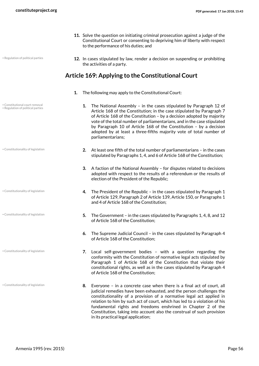- **11.** Solve the question on initiating criminal prosecution against a judge of the Constitutional Court or consenting to depriving him of liberty with respect to the performance of his duties; and
- Regulation of political parties
- **12.** In cases stipulated by law, render a decision on suspending or prohibiting the activities of a party.

#### **Article 169: Applying to the Constitutional Court**

- **1.** The following may apply to the Constitutional Court:
	- **1.** The National Assembly in the cases stipulated by Paragraph 12 of Article 168 of the Constitution; in the case stipulated by Paragraph 7 of Article 168 of the Constitution – by a decision adopted by majority vote of the total number of parliamentarians, and in the case stipulated by Paragraph 10 of Article 168 of the Constitution – by a decision adopted by at least a three-fifths majority vote of total number of parliamentarians;
	- **2.** At least one fifth of the total number of parliamentarians in the cases stipulated by Paragraphs 1, 4, and 6 of Article 168 of the Constitution;
	- **3.** A faction of the National Assembly for disputes related to decisions adopted with respect to the results of a referendum or the results of election of the President of the Republic;
	- **4.** The President of the Republic in the cases stipulated by Paragraph 1 of Article 129, Paragraph 2 of Article 139, Article 150, or Paragraphs 1 and 4 of Article 168 of the Constitution;
	- **5.** The Government in the cases stipulated by Paragraphs 1, 4, 8, and 12 of Article 168 of the Constitution;
	- **6.** The Supreme Judicial Council in the cases stipulated by Paragraph 4 of Article 168 of the Constitution;
	- **7.** Local self-government bodies with a question regarding the conformity with the Constitution of normative legal acts stipulated by Paragraph 1 of Article 168 of the Constitution that violate their constitutional rights, as well as in the cases stipulated by Paragraph 4 of Article 168 of the Constitution;
	- **8.** Everyone in a concrete case when there is a final act of court, all judicial remedies have been exhausted, and the person challenges the constitutionality of a provision of a normative legal act applied in relation to him by such act of court, which has led to a violation of his fundamental rights and freedoms enshrined in Chapter 2 of the Constitution, taking into account also the construal of such provision in its practical legal application;

• Constitutional court removal • Regulation of political parties

• Constitutionality of legislation

- Constitutionality of legislation
- Constitutionality of legislation

• Constitutionality of legislation

• Constitutionality of legislation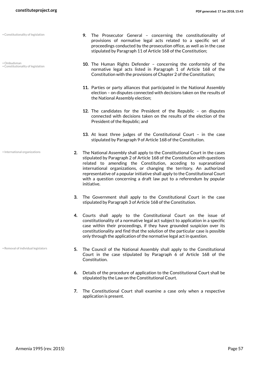- Constitutionality of legislation
- Ombudsman • Constitutionality of legislation

• International organizations

• Removal of individual legislators

- **9.** The Prosecutor General concerning the constitutionality of provisions of normative legal acts related to a specific set of proceedings conducted by the prosecution office, as well as in the case stipulated by Paragraph 11 of Article 168 of the Constitution;
- **10.** The Human Rights Defender concerning the conformity of the normative legal acts listed in Paragraph 1 of Article 168 of the Constitution with the provisions of Chapter 2 of the Constitution;
- **11.** Parties or party alliances that participated in the National Assembly election – on disputes connected with decisions taken on the results of the National Assembly election;
- **12.** The candidates for the President of the Republic on disputes connected with decisions taken on the results of the election of the President of the Republic; and
- **13.** At least three judges of the Constitutional Court in the case stipulated by Paragraph 9 of Article 168 of the Constitution.
- **2.** The National Assembly shall apply to the Constitutional Court in the cases stipulated by Paragraph 2 of Article 168 of the Constitution with questions related to amending the Constitution, acceding to supranational international organizations, or changing the territory. An authorized representative of a popular initiative shall apply to the Constitutional Court with a question concerning a draft law put to a referendum by popular initiative.
	- **3.** The Government shall apply to the Constitutional Court in the case stipulated by Paragraph 3 of Article 168 of the Constitution.
	- **4.** Courts shall apply to the Constitutional Court on the issue of constitutionality of a normative legal act subject to application in a specific case within their proceedings, if they have grounded suspicion over its constitutionality and find that the solution of the particular case is possible only through the application of the normative legal act in question.
	- **5.** The Council of the National Assembly shall apply to the Constitutional Court in the case stipulated by Paragraph 6 of Article 168 of the Constitution.
	- **6.** Details of the procedure of application to the Constitutional Court shall be stipulated by the Law on the Constitutional Court.
	- **7.** The Constitutional Court shall examine a case only when a respective application is present.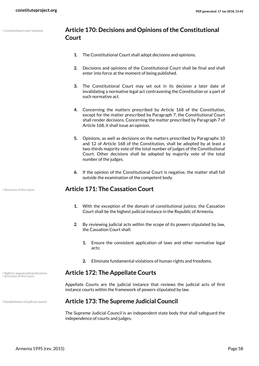• Constitutional court opinions

#### **Article 170: Decisions and Opinions of the Constitutional Court**

- **1.** The Constitutional Court shall adopt decisions and opinions.
- **2.** Decisions and opinions of the Constitutional Court shall be final and shall enter into force at the moment of being published.
- **3.** The Constitutional Court may set out in its decision a later date of invalidating a normative legal act contravening the Constitution or a part of such normative act.
- **4.** Concerning the matters prescribed by Article 168 of the Constitution, except for the matter prescribed by Paragraph 7, the Constitutional Court shall render decisions. Concerning the matter prescribed by Paragraph 7 of Article 168, it shall issue an opinion.
- **5.** Opinions, as well as decisions on the matters prescribed by Paragraphs 10 and 12 of Article 168 of the Constitution, shall be adopted by at least a two-thirds majority vote of the total number of judges of the Constitutional Court. Other decisions shall be adopted by majority vote of the total number of the judges.
- **6.** If the opinion of the Constitutional Court is negative, the matter shall fall outside the examination of the competent body.

#### • Structure of the courts **Article 171: The Cassation Court**

- **1.** With the exception of the domain of constitutional justice, the Cassation Court shall be the highest judicial instance in the Republic of Armenia.
- **2.** By reviewing judicial acts within the scope of its powers stipulated by law, the Cassation Court shall:
	- **1.** Ensure the consistent application of laws and other normative legal acts;
	- **2.** Eliminate fundamental violations of human rights and freedoms.

#### • Right to appeal judicial decisions **Article 172: The Appellate Courts**

Appellate Courts are the judicial instance that reviews the judicial acts of first instance courts within the framework of powers stipulated by law.

#### • Establishment of judicial council **Article 173: The Supreme Judicial Council**

The Supreme Judicial Council is an independent state body that shall safeguard the independence of courts and judges.

• Structure of the courts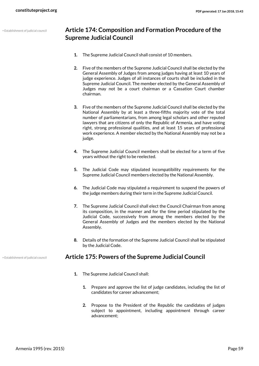## **Article 174: Composition and Formation Procedure of the Supreme Judicial Council**

- **1.** The Supreme Judicial Council shall consist of 10 members.
- **2.** Five of the members of the Supreme Judicial Council shall be elected by the General Assembly of Judges from among judges having at least 10 years of judge experience. Judges of all instances of courts shall be included in the Supreme Judicial Council. The member elected by the General Assembly of Judges may not be a court chairman or a Cassation Court chamber chairman.
- **3.** Five of the members of the Supreme Judicial Council shall be elected by the National Assembly by at least a three-fifths majority vote of the total number of parliamentarians, from among legal scholars and other reputed lawyers that are citizens of only the Republic of Armenia, and have voting right, strong professional qualities, and at least 15 years of professional work experience. A member elected by the National Assembly may not be a judge.
- **4.** The Supreme Judicial Council members shall be elected for a term of five years without the right to be reelected.
- **5.** The Judicial Code may stipulated incompatibility requirements for the Supreme Judicial Council members elected by the National Assembly.
- **6.** The Judicial Code may stipulated a requirement to suspend the powers of the judge members during their term in the Supreme Judicial Council.
- **7.** The Supreme Judicial Council shall elect the Council Chairman from among its composition, in the manner and for the time period stipulated by the Judicial Code, successively from among the members elected by the General Assembly of Judges and the members elected by the National Assembly.
- **8.** Details of the formation of the Supreme Judicial Council shall be stipulated by the Judicial Code.

#### • Establishment of judicial council **Article 175: Powers of the Supreme Judicial Council**

- **1.** The Supreme Judicial Council shall:
	- **1.** Prepare and approve the list of judge candidates, including the list of candidates for career advancement;
	- **2.** Propose to the President of the Republic the candidates of judges subject to appointment, including appointment through career advancement;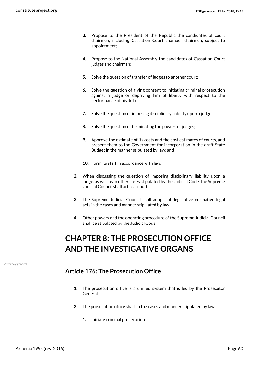- **3.** Propose to the President of the Republic the candidates of court chairmen, including Cassation Court chamber chairmen, subject to appointment;
- **4.** Propose to the National Assembly the candidates of Cassation Court judges and chairman;
- **5.** Solve the question of transfer of judges to another court;
- **6.** Solve the question of giving consent to initiating criminal prosecution against a judge or depriving him of liberty with respect to the performance of his duties;
- **7.** Solve the question of imposing disciplinary liability upon a judge;
- **8.** Solve the question of terminating the powers of judges;
- **9.** Approve the estimate of its costs and the cost estimates of courts, and present them to the Government for incorporation in the draft State Budget in the manner stipulated by law; and
- **10.** Form its staff in accordance with law.
- **2.** When discussing the question of imposing disciplinary liability upon a judge, as well as in other cases stipulated by the Judicial Code, the Supreme Judicial Council shall act as a court.
- **3.** The Supreme Judicial Council shall adopt sub-legislative normative legal acts in the cases and manner stipulated by law.
- **4.** Other powers and the operating procedure of the Supreme Judicial Council shall be stipulated by the Judicial Code.

## **CHAPTER 8: THE PROSECUTION OFFICE AND THE INVESTIGATIVE ORGANS**

• Attorney general

## **Article 176: The Prosecution Office**

- **1.** The prosecution office is a unified system that is led by the Prosecutor General.
- **2.** The prosecution office shall, in the cases and manner stipulated by law:
	- **1.** Initiate criminal prosecution;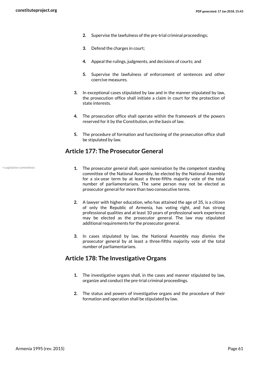- **2.** Supervise the lawfulness of the pre-trial criminal proceedings;
- **3.** Defend the charges in court;
- **4.** Appeal the rulings, judgments, and decisions of courts; and
- **5.** Supervise the lawfulness of enforcement of sentences and other coercive measures.
- **3.** In exceptional cases stipulated by law and in the manner stipulated by law, the prosecution office shall initiate a claim in court for the protection of state interests.
- **4.** The prosecution office shall operate within the framework of the powers reserved for it by the Constitution, on the basis of law.
- **5.** The procedure of formation and functioning of the prosecution office shall be stipulated by law.

#### **Article 177: The Prosecutor General**

• Legislative committees

- **1.** The prosecutor general shall, upon nomination by the competent standing committee of the National Assembly, be elected by the National Assembly for a six-year term by at least a three-fifths majority vote of the total number of parliamentarians. The same person may not be elected as prosecutor general for more than two consecutive terms.
- **2.** A lawyer with higher education, who has attained the age of 35, is a citizen of only the Republic of Armenia, has voting right, and has strong professional qualities and at least 10 years of professional work experience may be elected as the prosecutor general. The law may stipulated additional requirements for the prosecutor general.
- **3.** In cases stipulated by law, the National Assembly may dismiss the prosecutor general by at least a three-fifths majority vote of the total number of parliamentarians.

#### **Article 178: The Investigative Organs**

- **1.** The investigative organs shall, in the cases and manner stipulated by law, organize and conduct the pre-trial criminal proceedings.
- **2.** The status and powers of investigative organs and the procedure of their formation and operation shall be stipulated by law.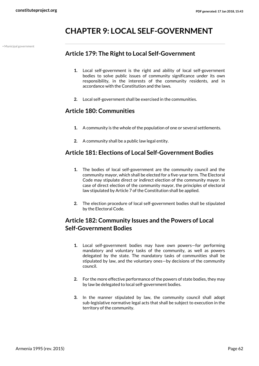## **CHAPTER 9: LOCAL SELF-GOVERNMENT**

• Municipal government

## **Article 179: The Right to Local Self-Government**

- **1.** Local self-government is the right and ability of local self-government bodies to solve public issues of community significance under its own responsibility, in the interests of the community residents, and in accordance with the Constitution and the laws.
- **2.** Local self-government shall be exercised in the communities.

#### **Article 180: Communities**

- **1.** A community is the whole of the population of one or several settlements.
- **2.** A community shall be a public law legal entity.

#### **Article 181: Elections of Local Self-Government Bodies**

- **1.** The bodies of local self-government are the community council and the community mayor, which shall be elected for a five-year term. The Electoral Code may stipulate direct or indirect election of the community mayor. In case of direct election of the community mayor, the principles of electoral law stipulated by Article 7 of the Constitution shall be applied.
- **2.** The election procedure of local self-government bodies shall be stipulated by the Electoral Code.

## **Article 182: Community Issues and the Powers of Local Self-Government Bodies**

- **1.** Local self-government bodies may have own powers—for performing mandatory and voluntary tasks of the community, as well as powers delegated by the state. The mandatory tasks of communities shall be stipulated by law, and the voluntary ones—by decisions of the community council.
- **2.** For the more effective performance of the powers of state bodies, they may by law be delegated to local self-government bodies.
- **3.** In the manner stipulated by law, the community council shall adopt sub-legislative normative legal acts that shall be subject to execution in the territory of the community.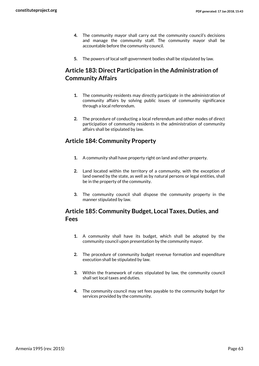- **4.** The community mayor shall carry out the community council's decisions and manage the community staff. The community mayor shall be accountable before the community council.
- **5.** The powers of local self-government bodies shall be stipulated by law.

## **Article 183: Direct Participation in the Administration of Community Affairs**

- **1.** The community residents may directly participate in the administration of community affairs by solving public issues of community significance through a local referendum.
- **2.** The procedure of conducting a local referendum and other modes of direct participation of community residents in the administration of community affairs shall be stipulated by law.

## **Article 184: Community Property**

- **1.** A community shall have property right on land and other property.
- **2.** Land located within the territory of a community, with the exception of land owned by the state, as well as by natural persons or legal entities, shall be in the property of the community.
- **3.** The community council shall dispose the community property in the manner stipulated by law.

## **Article 185: Community Budget, Local Taxes, Duties, and Fees**

- **1.** A community shall have its budget, which shall be adopted by the community council upon presentation by the community mayor.
- **2.** The procedure of community budget revenue formation and expenditure execution shall be stipulated by law.
- **3.** Within the framework of rates stipulated by law, the community council shall set local taxes and duties.
- **4.** The community council may set fees payable to the community budget for services provided by the community.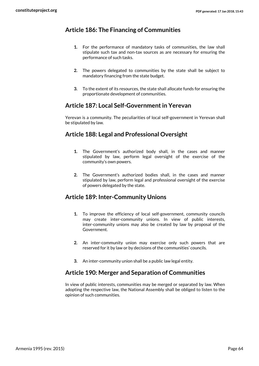## **Article 186: The Financing of Communities**

- **1.** For the performance of mandatory tasks of communities, the law shall stipulate such tax and non-tax sources as are necessary for ensuring the performance of such tasks.
- **2.** The powers delegated to communities by the state shall be subject to mandatory financing from the state budget.
- **3.** To the extent of its resources, the state shall allocate funds for ensuring the proportionate development of communities.

#### **Article 187: Local Self-Government in Yerevan**

Yerevan is a community. The peculiarities of local self-government in Yerevan shall be stipulated by law.

## **Article 188: Legal and Professional Oversight**

- **1.** The Government's authorized body shall, in the cases and manner stipulated by law, perform legal oversight of the exercise of the community's own powers.
- **2.** The Government's authorized bodies shall, in the cases and manner stipulated by law, perform legal and professional oversight of the exercise of powers delegated by the state.

#### **Article 189: Inter-Community Unions**

- **1.** To improve the efficiency of local self-government, community councils may create inter-community unions. In view of public interests, inter-community unions may also be created by law by proposal of the Government.
- **2.** An inter-community union may exercise only such powers that are reserved for it by law or by decisions of the communities' councils.
- **3.** An inter-community union shall be a public law legal entity.

#### **Article 190: Merger and Separation of Communities**

In view of public interests, communities may be merged or separated by law. When adopting the respective law, the National Assembly shall be obliged to listen to the opinion of such communities.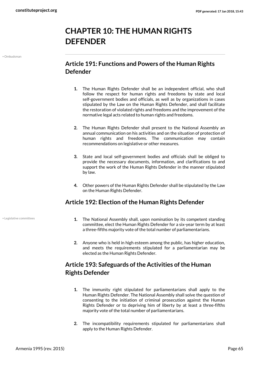# **CHAPTER 10: THE HUMAN RIGHTS DEFENDER**

• Ombudsman

## **Article 191: Functions and Powers of the Human Rights Defender**

- **1.** The Human Rights Defender shall be an independent official, who shall follow the respect for human rights and freedoms by state and local self-government bodies and officials, as well as by organizations in cases stipulated by the Law on the Human Rights Defender, and shall facilitate the restoration of violated rights and freedoms and the improvement of the normative legal acts related to human rights and freedoms.
- **2.** The Human Rights Defender shall present to the National Assembly an annual communication on his activities and on the situation of protection of human rights and freedoms. The communication may contain recommendations on legislative or other measures.
- **3.** State and local self-government bodies and officials shall be obliged to provide the necessary documents, information, and clarifications to and support the work of the Human Rights Defender in the manner stipulated by law.
- **4.** Other powers of the Human Rights Defender shall be stipulated by the Law on the Human Rights Defender.

## **Article 192: Election of the Human Rights Defender**

- Legislative committees
- **1.** The National Assembly shall, upon nomination by its competent standing committee, elect the Human Rights Defender for a six-year term by at least a three-fifths majority vote of the total number of parliamentarians.
- **2.** Anyone who is held in high esteem among the public, has higher education, and meets the requirements stipulated for a parliamentarian may be elected as the Human Rights Defender.

## **Article 193: Safeguards of the Activities of the Human Rights Defender**

- **1.** The immunity right stipulated for parliamentarians shall apply to the Human Rights Defender. The National Assembly shall solve the question of consenting to the initiation of criminal prosecution against the Human Rights Defender or to depriving him of liberty by at least a three-fifths majority vote of the total number of parliamentarians.
- **2.** The incompatibility requirements stipulated for parliamentarians shall apply to the Human Rights Defender.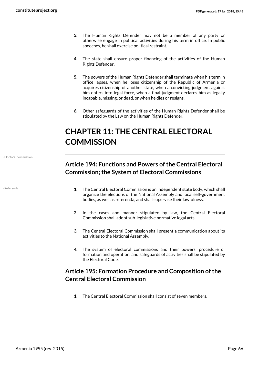- **3.** The Human Rights Defender may not be a member of any party or otherwise engage in political activities during his term in office. In public speeches, he shall exercise political restraint.
- **4.** The state shall ensure proper financing of the activities of the Human Rights Defender.
- **5.** The powers of the Human Rights Defender shall terminate when his term in office lapses, when he loses citizenship of the Republic of Armenia or acquires citizenship of another state, when a convicting judgment against him enters into legal force, when a final judgment declares him as legally incapable, missing, or dead, or when he dies or resigns.
- **6.** Other safeguards of the activities of the Human Rights Defender shall be stipulated by the Law on the Human Rights Defender.

# **CHAPTER 11: THE CENTRAL ELECTORAL COMMISSION**

• Electoral commission

• Referenda

## **Article 194: Functions and Powers of the Central Electoral Commission; the System of Electoral Commissions**

- **1.** The Central Electoral Commission is an independent state body, which shall organize the elections of the National Assembly and local self-government bodies, as well as referenda, and shall supervise their lawfulness.
- **2.** In the cases and manner stipulated by law, the Central Electoral Commission shall adopt sub-legislative normative legal acts.
- **3.** The Central Electoral Commission shall present a communication about its activities to the National Assembly.
- **4.** The system of electoral commissions and their powers, procedure of formation and operation, and safeguards of activities shall be stipulated by the Electoral Code.

## **Article 195: Formation Procedure and Composition of the Central Electoral Commission**

**1.** The Central Electoral Commission shall consist of seven members.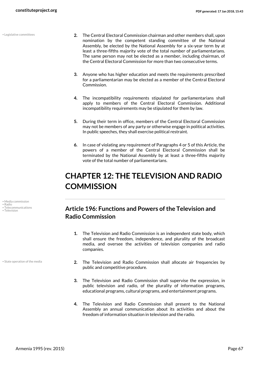• Legislative committees

- **2.** The Central Electoral Commission chairman and other members shall, upon nomination by the competent standing committee of the National Assembly, be elected by the National Assembly for a six-year term by at least a three-fifths majority vote of the total number of parliamentarians. The same person may not be elected as a member, including chairman, of the Central Electoral Commission for more than two consecutive terms.
- **3.** Anyone who has higher education and meets the requirements prescribed for a parliamentarian may be elected as a member of the Central Electoral Commission.
- **4.** The incompatibility requirements stipulated for parliamentarians shall apply to members of the Central Electoral Commission. Additional incompatibility requirements may be stipulated for them by law.
- **5.** During their term in office, members of the Central Electoral Commission may not be members of any party or otherwise engage in political activities. In public speeches, they shall exercise political restraint.
- **6.** In case of violating any requirement of Paragraphs 4 or 5 of this Article, the powers of a member of the Central Electoral Commission shall be terminated by the National Assembly by at least a three-fifths majority vote of the total number of parliamentarians.

## **CHAPTER 12: THE TELEVISION AND RADIO COMMISSION**

## **• Telecommunications Article 196: Functions and Powers of the Television and Radio Commission**

- **1.** The Television and Radio Commission is an independent state body, which shall ensure the freedom, independence, and plurality of the broadcast media, and oversee the activities of television companies and radio companies.
- **2.** The Television and Radio Commission shall allocate air frequencies by public and competitive procedure.
- **3.** The Television and Radio Commission shall supervise the expression, in public television and radio, of the plurality of information programs, educational programs, cultural programs, and entertainment programs.
- **4.** The Television and Radio Commission shall present to the National Assembly an annual communication about its activities and about the freedom of information situation in television and the radio.
- Media commission
- Radio Telecommunications
- 
- 

• State operation of the media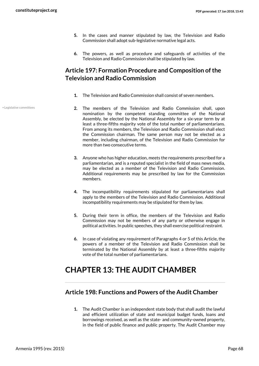- **5.** In the cases and manner stipulated by law, the Television and Radio Commission shall adopt sub-legislative normative legal acts.
- **6.** The powers, as well as procedure and safeguards of activities of the Television and Radio Commission shall be stipulated by law.

## **Article 197: Formation Procedure and Composition of the Television and Radio Commission**

- **1.** The Television and Radio Commission shall consist of seven members.
- **2.** The members of the Television and Radio Commission shall, upon nomination by the competent standing committee of the National Assembly, be elected by the National Assembly for a six-year term by at least a three-fifths majority vote of the total number of parliamentarians. From among its members, the Television and Radio Commission shall elect the Commission chairman. The same person may not be elected as a member, including chairman, of the Television and Radio Commission for more than two consecutive terms.
	- **3.** Anyone who has higher education, meets the requirements prescribed for a parliamentarian, and is a reputed specialist in the field of mass news media, may be elected as a member of the Television and Radio Commission. Additional requirements may be prescribed by law for the Commission members.
	- **4.** The incompatibility requirements stipulated for parliamentarians shall apply to the members of the Television and Radio Commission. Additional incompatibility requirements may be stipulated for them by law.
	- **5.** During their term in office, the members of the Television and Radio Commission may not be members of any party or otherwise engage in political activities. In public speeches, they shall exercise political restraint.
	- **6.** In case of violating any requirement of Paragraphs 4 or 5 of this Article, the powers of a member of the Television and Radio Commission shall be terminated by the National Assembly by at least a three-fifths majority vote of the total number of parliamentarians.

## **CHAPTER 13: THE AUDIT CHAMBER**

## **Article 198: Functions and Powers of the Audit Chamber**

**1.** The Audit Chamber is an independent state body that shall audit the lawful and efficient utilization of state and municipal budget funds, loans and borrowings received, as well as the state- and community-owned property, in the field of public finance and public property. The Audit Chamber may

• Legislative committees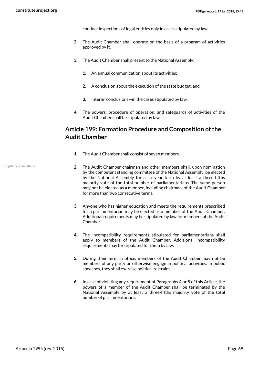conduct inspections of legal entities only in cases stipulated by law.

- **2.** The Audit Chamber shall operate on the basis of a program of activities approved by it.
- **3.** The Audit Chamber shall present to the National Assembly:
	- **1.** An annual communication about its activities;
	- **2.** A conclusion about the execution of the state budget; and
	- **3.** Interim conclusions—in the cases stipulated by law.
- **4.** The powers, procedure of operation, and safeguards of activities of the Audit Chamber shall be stipulated by law.

## **Article 199: Formation Procedure and Composition of the Audit Chamber**

- **1.** The Audit Chamber shall consist of seven members.
- **2.** The Audit Chamber chairman and other members shall, upon nomination by the competent standing committee of the National Assembly, be elected by the National Assembly for a six-year term by at least a three-fifths majority vote of the total number of parliamentarians. The same person may not be elected as a member, including chairman, of the Audit Chamber for more than two consecutive terms.
- **3.** Anyone who has higher education and meets the requirements prescribed for a parliamentarian may be elected as a member of the Audit Chamber. Additional requirements may be stipulated by law for members of the Audit Chamber.
- **4.** The incompatibility requirements stipulated for parliamentarians shall apply to members of the Audit Chamber. Additional incompatibility requirements may be stipulated for them by law.
- **5.** During their term in office, members of the Audit Chamber may not be members of any party or otherwise engage in political activities. In public speeches, they shall exercise political restraint.
- **6.** In case of violating any requirement of Paragraphs 4 or 5 of this Article, the powers of a member of the Audit Chamber shall be terminated by the National Assembly by at least a three-fifths majority vote of the total number of parliamentarians.

• Legislative committees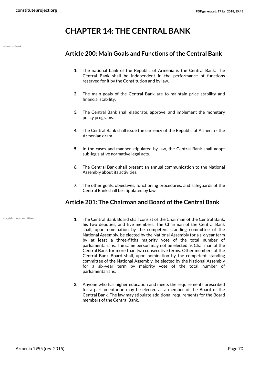## **CHAPTER 14: THE CENTRAL BANK**

• Central bank

#### **Article 200: Main Goals and Functions of the Central Bank**

- **1.** The national bank of the Republic of Armenia is the Central Bank. The Central Bank shall be independent in the performance of functions reserved for it by the Constitution and by law.
- **2.** The main goals of the Central Bank are to maintain price stability and financial stability.
- **3.** The Central Bank shall elaborate, approve, and implement the monetary policy programs.
- **4.** The Central Bank shall issue the currency of the Republic of Armenia the Armenian dram.
- **5.** In the cases and manner stipulated by law, the Central Bank shall adopt sub-legislative normative legal acts.
- **6.** The Central Bank shall present an annual communication to the National Assembly about its activities.
- **7.** The other goals, objectives, functioning procedures, and safeguards of the Central Bank shall be stipulated by law.

## **Article 201: The Chairman and Board of the Central Bank**

• Legislative committees

- **1.** The Central Bank Board shall consist of the Chairman of the Central Bank, his two deputies, and five members. The Chairman of the Central Bank shall, upon nomination by the competent standing committee of the National Assembly, be elected by the National Assembly for a six-year term by at least a three-fifths majority vote of the total number of parliamentarians. The same person may not be elected as Chairman of the Central Bank for more than two consecutive terms. Other members of the Central Bank Board shall, upon nomination by the competent standing committee of the National Assembly, be elected by the National Assembly for a six-year term by majority vote of the total number of parliamentarians.
- **2.** Anyone who has higher education and meets the requirements prescribed for a parliamentarian may be elected as a member of the Board of the Central Bank. The law may stipulate additional requirements for the Board members of the Central Bank.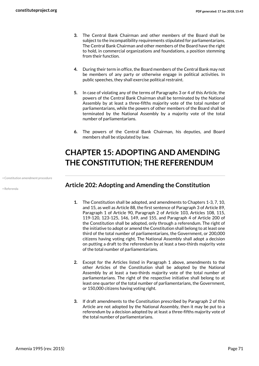- **3.** The Central Bank Chairman and other members of the Board shall be subject to the incompatibility requirements stipulated for parliamentarians. The Central Bank Chairman and other members of the Board have the right to hold, in commercial organizations and foundations, a position stemming from their function.
- **4.** During their term in office, the Board members of the Central Bank may not be members of any party or otherwise engage in political activities. In public speeches, they shall exercise political restraint.
- **5.** In case of violating any of the terms of Paragraphs 3 or 4 of this Article, the powers of the Central Bank Chairman shall be terminated by the National Assembly by at least a three-fifths majority vote of the total number of parliamentarians, while the powers of other members of the Board shall be terminated by the National Assembly by a majority vote of the total number of parliamentarians.
- **6.** The powers of the Central Bank Chairman, his deputies, and Board members shall be stipulated by law.

# **CHAPTER 15: ADOPTING AND AMENDING THE CONSTITUTION; THE REFERENDUM**

• Constitution amendment procedure

• Referenda

### **Article 202: Adopting and Amending the Constitution**

- **1.** The Constitution shall be adopted, and amendments to Chapters 1-3, 7, 10, and 15, as well as Article 88, the first sentence of Paragraph 3 of Article 89, Paragraph 1 of Article 90, Paragraph 2 of Article 103, Articles 108, 115, 119-120, 123-125, 146, 149, and 155, and Paragraph 4 of Article 200 of the Constitution shall be adopted, only through a referendum. The right of the initiative to adopt or amend the Constitution shall belong to at least one third of the total number of parliamentarians, the Government, or 200,000 citizens having voting right. The National Assembly shall adopt a decision on putting a draft to the referendum by at least a two-thirds majority vote of the total number of parliamentarians.
- **2.** Except for the Articles listed in Paragraph 1 above, amendments to the other Articles of the Constitution shall be adopted by the National Assembly by at least a two-thirds majority vote of the total number of parliamentarians. The right of the respective initiative shall belong to at least one quarter of the total number of parliamentarians, the Government, or 150,000 citizens having voting right.
- **3.** If draft amendments to the Constitution prescribed by Paragraph 2 of this Article are not adopted by the National Assembly, then it may be put to a referendum by a decision adopted by at least a three-fifths majority vote of the total number of parliamentarians.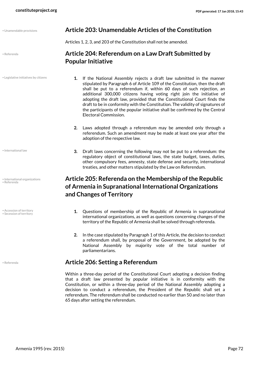| • Unamendable provisions |  |
|--------------------------|--|

• Referenda

• Legislative initiatives by citizens

• International law

- International organizations • Referenda
- Accession of territory Secession of territory

#### • Unamendable provisions **Article 203: Unamendable Articles of the Constitution**

Articles 1, 2, 3, and 203 of the Constitution shall not be amended.

## **Article 204: Referendum on a Law Draft Submitted by Popular Initiative**

- **1.** If the National Assembly rejects a draft law submitted in the manner stipulated by Paragraph 6 of Article 109 of the Constitution, then the draft shall be put to a referendum if, within 60 days of such rejection, an additional 300,000 citizens having voting right join the initiative of adopting the draft law, provided that the Constitutional Court finds the draft to be in conformity with the Constitution. The validity of signatures of the participants of the popular initiative shall be confirmed by the Central Electoral Commission.
- **2.** Laws adopted through a referendum may be amended only through a referendum. Such an amendment may be made at least one year after the adoption of the respective law.
- **3.** Draft laws concerning the following may not be put to a referendum: the regulatory object of constitutional laws, the state budget, taxes, duties, other compulsory fees, amnesty, state defense and security, international treaties, and other matters stipulated by the Law on Referendum.

## **Article 205: Referenda on the Membership of the Republic of Armenia in Supranational International Organizations and Changes of Territory**

- **1.** Questions of membership of the Republic of Armenia in supranational international organizations, as well as questions concerning changes of the territory of the Republic of Armenia shall be solved through referenda.
- **2.** In the case stipulated by Paragraph 1 of this Article, the decision to conduct a referendum shall, by proposal of the Government, be adopted by the National Assembly by majority vote of the total number of parliamentarians.

#### • Referenda **Article 206: Setting a Referendum**

Within a three-day period of the Constitutional Court adopting a decision finding that a draft law presented by popular initiative is in conformity with the Constitution, or within a three-day period of the National Assembly adopting a decision to conduct a referendum, the President of the Republic shall set a referendum. The referendum shall be conducted no earlier than 50 and no later than 65 days after setting the referendum.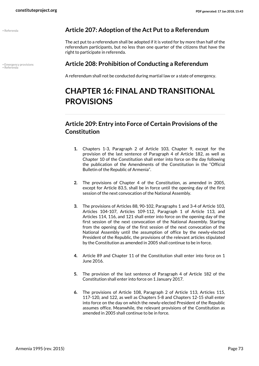<span id="page-72-1"></span><span id="page-72-0"></span>

#### • Referenda **Article 207: Adoption of the Act Put to a Referendum**

The act put to a referendum shall be adopted if it is voted for by more than half of the referendum participants, but no less than one quarter of the citizens that have the right to participate in referenda.

# • Emergency provisions **Article 208: Prohibition of Conducting a Referendum** • Referenda

A referendum shall not be conducted during martial law or a state of emergency.

# **CHAPTER 16: FINAL AND TRANSITIONAL PROVISIONS**

# **Article 209: Entry into Force of Certain Provisions of the Constitution**

- **1.** Chapters 1-3, Paragraph 2 of Article 103, Chapter 9, except for the provision of the last sentence of Paragraph 4 of Article 182, as well as Chapter 10 of the Constitution shall enter into force on the day following the publication of the Amendments of the Constitution in the "Official Bulletin of the Republic of Armenia".
- **2.** The provisions of Chapter 4 of the Constitution, as amended in 2005, except for Article 83.5, shall be in force until the opening day of the first session of the next convocation of the National Assembly.
- **3.** The provisions of Articles 88, 90-102, Paragraphs 1 and 3-4 of Article 103, Articles 104-107, Articles 109-112, Paragraph 1 of Article 113, and Articles 114, 116, and 121 shall enter into force on the opening day of the first session of the next convocation of the National Assembly. Starting from the opening day of the first session of the next convocation of the National Assembly until the assumption of office by the newly-elected President of the Republic, the provisions of the relevant articles stipulated by the Constitution as amended in 2005 shall continue to be in force.
- **4.** Article 89 and Chapter 11 of the Constitution shall enter into force on 1 June 2016.
- **5.** The provision of the last sentence of Paragraph 4 of Article 182 of the Constitution shall enter into force on 1 January 2017.
- **6.** The provisions of Article 108, Paragraph 2 of Article 113, Articles 115, 117-120, and 122, as well as Chapters 5-8 and Chapters 12-15 shall enter into force on the day on which the newly-elected President of the Republic assumes office. Meanwhile, the relevant provisions of the Constitution as amended in 2005 shall continue to be in force.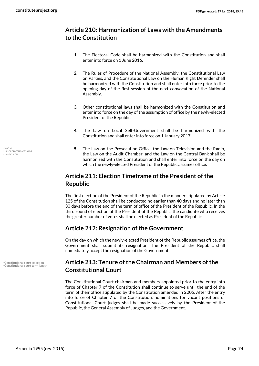## **Article 210: Harmonization of Laws with the Amendments to the Constitution**

- **1.** The Electoral Code shall be harmonized with the Constitution and shall enter into force on 1 June 2016.
- **2.** The Rules of Procedure of the National Assembly, the Constitutional Law on Parties, and the Constitutional Law on the Human Right Defender shall be harmonized with the Constitution and shall enter into force prior to the opening day of the first session of the next convocation of the National Assembly.
- **3.** Other constitutional laws shall be harmonized with the Constitution and enter into force on the day of the assumption of office by the newly-elected President of the Republic.
- **4.** The Law on Local Self-Government shall be harmonized with the Constitution and shall enter into force on 1 January 2017.
- **5.** The Law on the Prosecution Office, the Law on Television and the Radio, the Law on the Audit Chamber, and the Law on the Central Bank shall be harmonized with the Constitution and shall enter into force on the day on which the newly-elected President of the Republic assumes office.

## **Article 211: Election Timeframe of the President of the Republic**

The first election of the President of the Republic in the manner stipulated by Article 125 of the Constitution shall be conducted no earlier than 40 days and no later than 30 days before the end of the term of office of the President of the Republic. In the third round of election of the President of the Republic, the candidate who receives the greater number of votes shall be elected as President of the Republic.

#### **Article 212: Resignation of the Government**

On the day on which the newly-elected President of the Republic assumes office, the Government shall submit its resignation. The President of the Republic shall immediately accept the resignation of the Government.

#### <span id="page-73-1"></span><span id="page-73-0"></span>**Article 213: Tenure of the Chairman and Members of the Constitutional Court**

The Constitutional Court chairman and members appointed prior to the entry into force of Chapter 7 of the Constitution shall continue to serve until the end of the term of their office stipulated by the Constitution amended in 2005. After the entry into force of Chapter 7 of the Constitution, nominations for vacant positions of Constitutional Court judges shall be made successively by the President of the Republic, the General Assembly of Judges, and the Government.

<span id="page-73-4"></span><span id="page-73-3"></span><span id="page-73-2"></span>• Radio • Telecommunications • Television

• Constitutional court selection • Constitutional court term length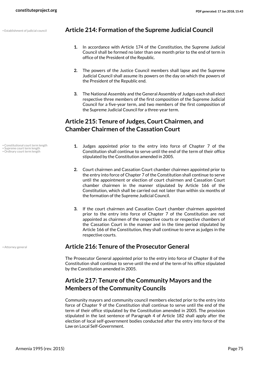#### • Establishment of judicial council **Article 214: Formation of the Supreme Judicial Council**

- <span id="page-74-2"></span>**1.** In accordance with Article 174 of the Constitution, the Supreme Judicial Council shall be formed no later than one month prior to the end of term in office of the President of the Republic.
- **2.** The powers of the Justice Council members shall lapse and the Supreme Judicial Council shall assume its powers on the day on which the powers of the President of the Republic end.
- **3.** The National Assembly and the General Assembly of Judges each shall elect respective three members of the first composition of the Supreme Judicial Council for a five-year term, and two members of the first composition of the Supreme Judicial Council for a three-year term.

## **Article 215: Tenure of Judges, Court Chairmen, and Chamber Chairmen of the Cassation Court**

- Constitutional court term length
- Supreme court term length Ordinary court term length
- <span id="page-74-4"></span><span id="page-74-3"></span><span id="page-74-1"></span>**1.** Judges appointed prior to the entry into force of Chapter 7 of the Constitution shall continue to serve until the end of the term of their office stipulated by the Constitution amended in 2005.
- **2.** Court chairmen and Cassation Court chamber chairmen appointed prior to the entry into force of Chapter 7 of the Constitution shall continue to serve until the appointment or election of court chairmen and Cassation Court chamber chairmen in the manner stipulated by Article 166 of the Constitution, which shall be carried out not later than within six months of the formation of the Supreme Judicial Council.
- **3.** If the court chairmen and Cassation Court chamber chairmen appointed prior to the entry into force of Chapter 7 of the Constitution are not appointed as chairmen of the respective courts or respective chambers of the Cassation Court in the manner and in the time period stipulated by Article 166 of the Constitution, they shall continue to serve as judges in the respective courts.

#### <span id="page-74-0"></span>• Attorney general **Article 216: Tenure of the Prosecutor General**

The Prosecutor General appointed prior to the entry into force of Chapter 8 of the Constitution shall continue to serve until the end of the term of his office stipulated by the Constitution amended in 2005.

## **Article 217: Tenure of the Community Mayors and the Members of the Community Councils**

Community mayors and community council members elected prior to the entry into force of Chapter 9 of the Constitution shall continue to serve until the end of the term of their office stipulated by the Constitution amended in 2005. The provision stipulated in the last sentence of Paragraph 4 of Article 182 shall apply after the election of local self-government bodies conducted after the entry into force of the Law on Local Self-Government.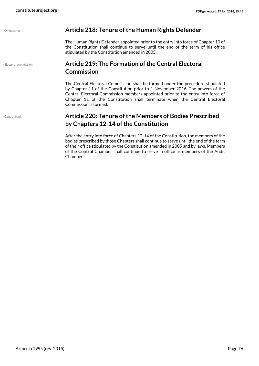<span id="page-75-2"></span><span id="page-75-1"></span>

| · Ombudsman            | Article 218: Tenure of the Human Rights Defender                                                                                                                                                                                                                                                                                                          |
|------------------------|-----------------------------------------------------------------------------------------------------------------------------------------------------------------------------------------------------------------------------------------------------------------------------------------------------------------------------------------------------------|
|                        | The Human Rights Defender appointed prior to the entry into force of Chapter 10 of<br>the Constitution shall continue to serve until the end of the term of his office<br>stipulated by the Constitution amended in 2005.                                                                                                                                 |
| · Electoral commission | <b>Article 219: The Formation of the Central Electoral</b><br><b>Commission</b>                                                                                                                                                                                                                                                                           |
|                        | The Central Electoral Commission shall be formed under the procedure stipulated<br>by Chapter 11 of the Constitution prior to 1 November 2016. The powers of the<br>Central Electoral Commission members appointed prior to the entry into force of<br>Chapter 11 of the Constitution shall terminate when the Central Electoral<br>Commission is formed. |
| · Central bank         | Article 220: Tenure of the Members of Bodies Prescribed<br>by Chapters 12-14 of the Constitution                                                                                                                                                                                                                                                          |
|                        | After the entry into force of Chapters 12-14 of the Constitution, the members of the<br>bodies prescribed by those Chapters shall continue to serve until the end of the term                                                                                                                                                                             |

Chamber.

<span id="page-75-0"></span>of their office stipulated by the Constitution amended in 2005 and by laws. Members of the Control Chamber shall continue to serve in office as members of the Audit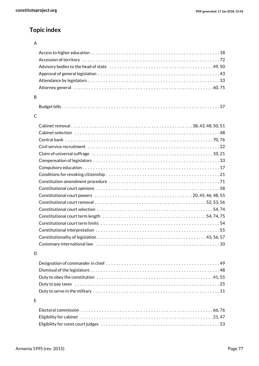## **Topic index**

#### A

| B |                                                                                                                |
|---|----------------------------------------------------------------------------------------------------------------|
|   |                                                                                                                |
| C |                                                                                                                |
|   |                                                                                                                |
|   |                                                                                                                |
|   |                                                                                                                |
|   |                                                                                                                |
|   |                                                                                                                |
|   | Claim of universal suffrage $\dots\dots\dots\dots\dots\dots\dots\dots\dots\dots\dots\dots\dots\dots\dots\dots$ |
|   |                                                                                                                |
|   |                                                                                                                |
|   |                                                                                                                |
|   |                                                                                                                |
|   |                                                                                                                |
|   |                                                                                                                |
|   |                                                                                                                |
|   |                                                                                                                |
|   |                                                                                                                |
|   |                                                                                                                |
|   |                                                                                                                |
|   |                                                                                                                |
|   |                                                                                                                |
| D |                                                                                                                |
|   |                                                                                                                |
|   |                                                                                                                |
|   |                                                                                                                |
|   |                                                                                                                |
|   |                                                                                                                |
|   |                                                                                                                |
| E |                                                                                                                |
|   |                                                                                                                |
|   |                                                                                                                |
|   |                                                                                                                |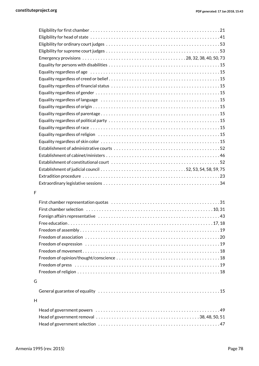| Equality regardless of age educational contract contract contract contract contract for the set of the set of $15$ |  |
|--------------------------------------------------------------------------------------------------------------------|--|
|                                                                                                                    |  |
|                                                                                                                    |  |
|                                                                                                                    |  |
|                                                                                                                    |  |
|                                                                                                                    |  |
|                                                                                                                    |  |
|                                                                                                                    |  |
|                                                                                                                    |  |
|                                                                                                                    |  |
|                                                                                                                    |  |
|                                                                                                                    |  |
|                                                                                                                    |  |
| Establishment of constitutional court (and the content of the content of constitutional court of the content of    |  |
|                                                                                                                    |  |
|                                                                                                                    |  |
|                                                                                                                    |  |
|                                                                                                                    |  |

#### F

| G |  |
|---|--|
|   |  |
| H |  |
|   |  |
|   |  |
|   |  |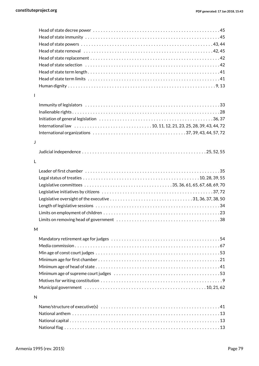| L |  |
|---|--|
|   |  |
|   |  |
|   |  |
|   |  |
|   |  |
|   |  |
| J |  |
|   |  |
| L |  |
|   |  |
|   |  |
|   |  |
|   |  |
|   |  |
|   |  |
|   |  |
|   |  |
| M |  |
|   |  |
|   |  |
|   |  |
|   |  |
|   |  |
|   |  |
|   |  |
|   |  |
|   |  |
| N |  |
|   |  |
|   |  |
|   |  |
|   |  |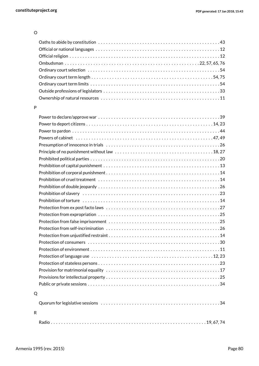#### O

#### P

| Q |  |
|---|--|
|   |  |
|   |  |

#### R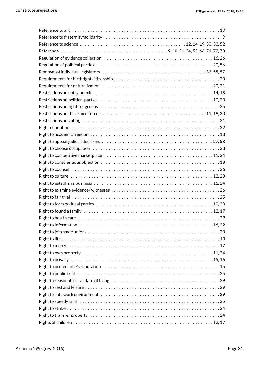| Right to culture $\dots\dots\dots\dots\dots\dots\dots\dots\dots\dots\dots\dots\dots\dots\dots\dots\dots$        |
|-----------------------------------------------------------------------------------------------------------------|
|                                                                                                                 |
|                                                                                                                 |
|                                                                                                                 |
|                                                                                                                 |
| Right to found a family $\dots\dots\dots\dots\dots\dots\dots\dots\dots\dots\dots\dots\dots\dots\dots\dots\dots$ |
|                                                                                                                 |
|                                                                                                                 |
|                                                                                                                 |
|                                                                                                                 |
|                                                                                                                 |
| Right to own property $\dots\dots\dots\dots\dots\dots\dots\dots\dots\dots\dots\dots\dots\dots\dots\dots$        |
|                                                                                                                 |
|                                                                                                                 |
|                                                                                                                 |
|                                                                                                                 |
|                                                                                                                 |
|                                                                                                                 |
|                                                                                                                 |
|                                                                                                                 |
|                                                                                                                 |
|                                                                                                                 |